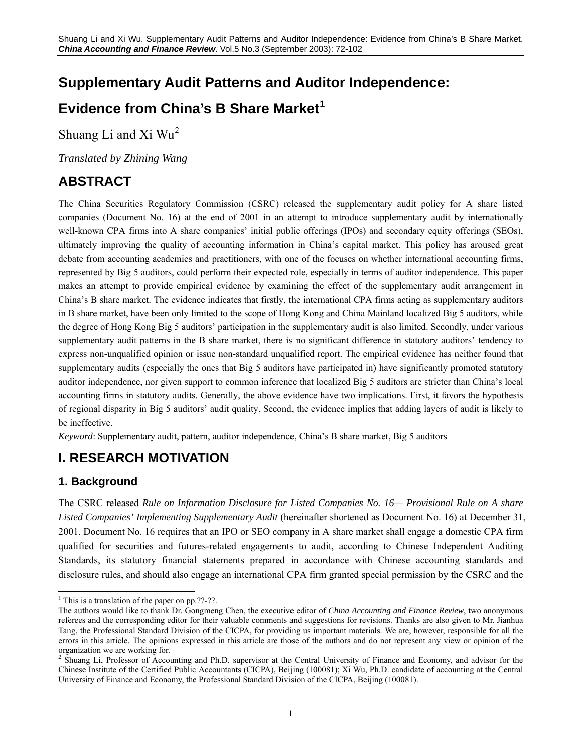# **Supplementary Audit Patterns and Auditor Independence:**

# **Evidence from China's B Share Market[1](#page-0-0)**

Shuang Li and Xi  $Wu^2$  $Wu^2$ 

*Translated by Zhining Wang* 

# **ABSTRACT**

The China Securities Regulatory Commission (CSRC) released the supplementary audit policy for A share listed companies (Document No. 16) at the end of 2001 in an attempt to introduce supplementary audit by internationally well-known CPA firms into A share companies' initial public offerings (IPOs) and secondary equity offerings (SEOs), ultimately improving the quality of accounting information in China's capital market. This policy has aroused great debate from accounting academics and practitioners, with one of the focuses on whether international accounting firms, represented by Big 5 auditors, could perform their expected role, especially in terms of auditor independence. This paper makes an attempt to provide empirical evidence by examining the effect of the supplementary audit arrangement in China's B share market. The evidence indicates that firstly, the international CPA firms acting as supplementary auditors in B share market, have been only limited to the scope of Hong Kong and China Mainland localized Big 5 auditors, while the degree of Hong Kong Big 5 auditors' participation in the supplementary audit is also limited. Secondly, under various supplementary audit patterns in the B share market, there is no significant difference in statutory auditors' tendency to express non-unqualified opinion or issue non-standard unqualified report. The empirical evidence has neither found that supplementary audits (especially the ones that Big 5 auditors have participated in) have significantly promoted statutory auditor independence, nor given support to common inference that localized Big 5 auditors are stricter than China's local accounting firms in statutory audits. Generally, the above evidence have two implications. First, it favors the hypothesis of regional disparity in Big 5 auditors' audit quality. Second, the evidence implies that adding layers of audit is likely to be ineffective.

*Keyword*: Supplementary audit, pattern, auditor independence, China's B share market, Big 5 auditors

# **I. RESEARCH MOTIVATION**

# **1. Background**

The CSRC released *Rule on Information Disclosure for Listed Companies No. 16— Provisional Rule on A share Listed Companies' Implementing Supplementary Audit* (hereinafter shortened as Document No. 16) at December 31, 2001. Document No. 16 requires that an IPO or SEO company in A share market shall engage a domestic CPA firm qualified for securities and futures-related engagements to audit, according to Chinese Independent Auditing Standards, its statutory financial statements prepared in accordance with Chinese accounting standards and disclosure rules, and should also engage an international CPA firm granted special permission by the CSRC and the

 $\overline{a}$ <sup>1</sup> This is a translation of the paper on pp.??-??.

<span id="page-0-0"></span>The authors would like to thank Dr. Gongmeng Chen, the executive editor of *China Accounting and Finance Review*, two anonymous referees and the corresponding editor for their valuable comments and suggestions for revisions. Thanks are also given to Mr. Jianhua Tang, the Professional Standard Division of the CICPA, for providing us important materials. We are, however, responsible for all the errors in this article. The opinions expressed in this article are those of the authors and do not represent any view or opinion of the organization we are working for.<br><sup>2</sup> Shuang Li, Professor of Account

<span id="page-0-1"></span>Shuang Li, Professor of Accounting and Ph.D. supervisor at the Central University of Finance and Economy, and advisor for the Chinese Institute of the Certified Public Accountants (CICPA), Beijing (100081); Xi Wu, Ph.D. candidate of accounting at the Central University of Finance and Economy, the Professional Standard Division of the CICPA, Beijing (100081).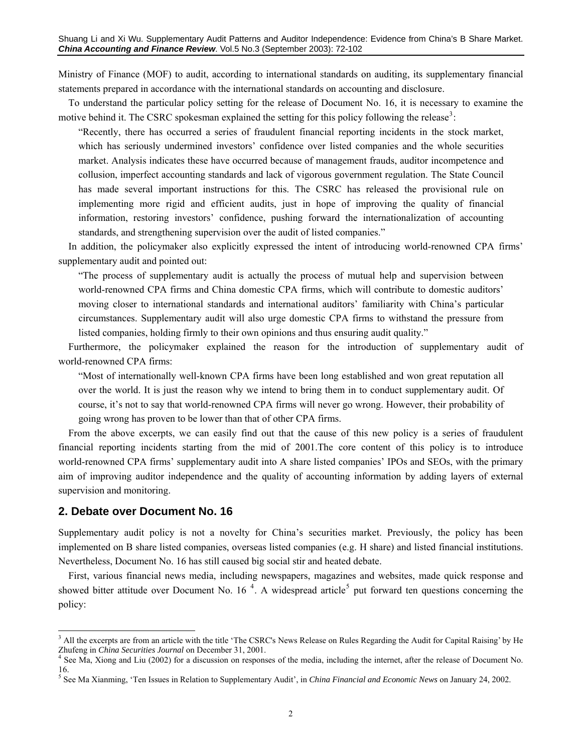Ministry of Finance (MOF) to audit, according to international standards on auditing, its supplementary financial statements prepared in accordance with the international standards on accounting and disclosure.

To understand the particular policy setting for the release of Document No. 16, it is necessary to examine the motive behind it. The CSRC spokesman explained the setting for this policy following the release<sup>[3](#page-1-0)</sup>:

"Recently, there has occurred a series of fraudulent financial reporting incidents in the stock market, which has seriously undermined investors' confidence over listed companies and the whole securities market. Analysis indicates these have occurred because of management frauds, auditor incompetence and collusion, imperfect accounting standards and lack of vigorous government regulation. The State Council has made several important instructions for this. The CSRC has released the provisional rule on implementing more rigid and efficient audits, just in hope of improving the quality of financial information, restoring investors' confidence, pushing forward the internationalization of accounting standards, and strengthening supervision over the audit of listed companies."

In addition, the policymaker also explicitly expressed the intent of introducing world-renowned CPA firms' supplementary audit and pointed out:

"The process of supplementary audit is actually the process of mutual help and supervision between world-renowned CPA firms and China domestic CPA firms, which will contribute to domestic auditors' moving closer to international standards and international auditors' familiarity with China's particular circumstances. Supplementary audit will also urge domestic CPA firms to withstand the pressure from listed companies, holding firmly to their own opinions and thus ensuring audit quality."

Furthermore, the policymaker explained the reason for the introduction of supplementary audit of world-renowned CPA firms:

"Most of internationally well-known CPA firms have been long established and won great reputation all over the world. It is just the reason why we intend to bring them in to conduct supplementary audit. Of course, it's not to say that world-renowned CPA firms will never go wrong. However, their probability of going wrong has proven to be lower than that of other CPA firms.

From the above excerpts, we can easily find out that the cause of this new policy is a series of fraudulent financial reporting incidents starting from the mid of 2001.The core content of this policy is to introduce world-renowned CPA firms' supplementary audit into A share listed companies' IPOs and SEOs, with the primary aim of improving auditor independence and the quality of accounting information by adding layers of external supervision and monitoring.

#### **2. Debate over Document No. 16**

-

Supplementary audit policy is not a novelty for China's securities market. Previously, the policy has been implemented on B share listed companies, overseas listed companies (e.g. H share) and listed financial institutions. Nevertheless, Document No. 16 has still caused big social stir and heated debate.

First, various financial news media, including newspapers, magazines and websites, made quick response and showed bitter attitude over Document No. 16<sup>[4](#page-1-1)</sup>. A widespread article<sup>[5](#page-1-2)</sup> put forward ten questions concerning the policy:

<span id="page-1-0"></span><sup>&</sup>lt;sup>3</sup> All the excerpts are from an article with the title 'The CSRC's News Release on Rules Regarding the Audit for Capital Raising' by He Zhufeng in *China Securities Journal* on December 31, 2001. 4

<span id="page-1-1"></span><sup>&</sup>lt;sup>4</sup> See Ma, Xiong and Liu (2002) for a discussion on responses of the media, including the internet, after the release of Document No. 16.

<span id="page-1-2"></span><sup>5</sup> See Ma Xianming, 'Ten Issues in Relation to Supplementary Audit', in *China Financial and Economic News* on January 24, 2002.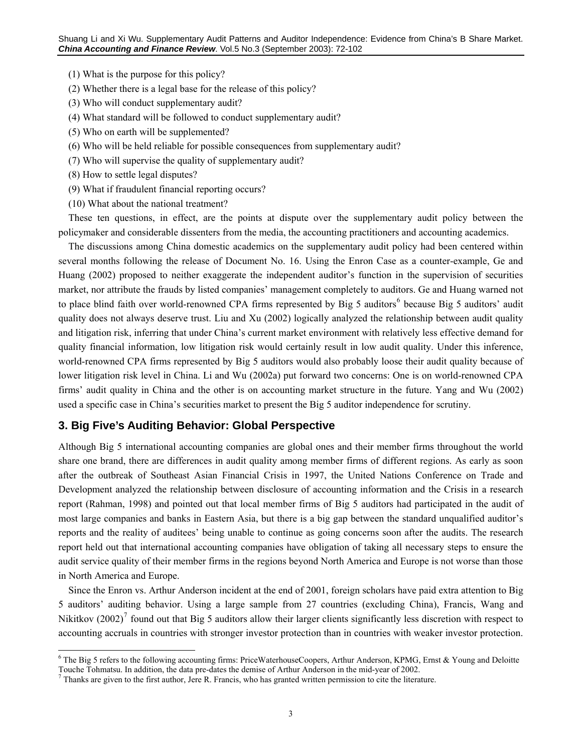- (1) What is the purpose for this policy?
- (2) Whether there is a legal base for the release of this policy?
- (3) Who will conduct supplementary audit?
- (4) What standard will be followed to conduct supplementary audit?
- (5) Who on earth will be supplemented?
- (6) Who will be held reliable for possible consequences from supplementary audit?
- (7) Who will supervise the quality of supplementary audit?
- (8) How to settle legal disputes?

 $\overline{a}$ 

- (9) What if fraudulent financial reporting occurs?
- (10) What about the national treatment?

These ten questions, in effect, are the points at dispute over the supplementary audit policy between the policymaker and considerable dissenters from the media, the accounting practitioners and accounting academics.

The discussions among China domestic academics on the supplementary audit policy had been centered within several months following the release of Document No. 16. Using the Enron Case as a counter-example, Ge and Huang (2002) proposed to neither exaggerate the independent auditor's function in the supervision of securities market, nor attribute the frauds by listed companies' management completely to auditors. Ge and Huang warned not to place blind faith over world-renowned CPA firms represented by Big 5 auditors<sup>[6](#page-2-0)</sup> because Big 5 auditors' audit quality does not always deserve trust. Liu and Xu (2002) logically analyzed the relationship between audit quality and litigation risk, inferring that under China's current market environment with relatively less effective demand for quality financial information, low litigation risk would certainly result in low audit quality. Under this inference, world-renowned CPA firms represented by Big 5 auditors would also probably loose their audit quality because of lower litigation risk level in China. Li and Wu (2002a) put forward two concerns: One is on world-renowned CPA firms' audit quality in China and the other is on accounting market structure in the future. Yang and Wu (2002) used a specific case in China's securities market to present the Big 5 auditor independence for scrutiny.

### **3. Big Five's Auditing Behavior: Global Perspective**

Although Big 5 international accounting companies are global ones and their member firms throughout the world share one brand, there are differences in audit quality among member firms of different regions. As early as soon after the outbreak of Southeast Asian Financial Crisis in 1997, the United Nations Conference on Trade and Development analyzed the relationship between disclosure of accounting information and the Crisis in a research report (Rahman, 1998) and pointed out that local member firms of Big 5 auditors had participated in the audit of most large companies and banks in Eastern Asia, but there is a big gap between the standard unqualified auditor's reports and the reality of auditees' being unable to continue as going concerns soon after the audits. The research report held out that international accounting companies have obligation of taking all necessary steps to ensure the audit service quality of their member firms in the regions beyond North America and Europe is not worse than those in North America and Europe.

Since the Enron vs. Arthur Anderson incident at the end of 2001, foreign scholars have paid extra attention to Big 5 auditors' auditing behavior. Using a large sample from 27 countries (excluding China), Francis, Wang and Nikitkov (2002)<sup>[7](#page-2-1)</sup> found out that Big 5 auditors allow their larger clients significantly less discretion with respect to accounting accruals in countries with stronger investor protection than in countries with weaker investor protection.

<span id="page-2-0"></span><sup>&</sup>lt;sup>6</sup> The Big 5 refers to the following accounting firms: PriceWaterhouseCoopers, Arthur Anderson, KPMG, Ernst & Young and Deloitte Touche Tohmatsu. In addition, the data pre-dates the demise of Arthur Anderson in the mid-year of 2002. 7

<span id="page-2-1"></span> $<sup>7</sup>$  Thanks are given to the first author, Jere R. Francis, who has granted written permission to cite the literature.</sup>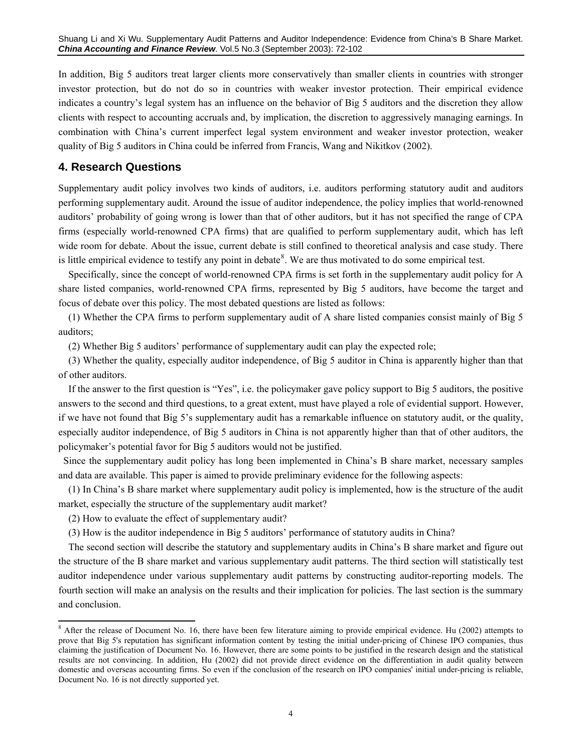In addition, Big 5 auditors treat larger clients more conservatively than smaller clients in countries with stronger investor protection, but do not do so in countries with weaker investor protection. Their empirical evidence indicates a country's legal system has an influence on the behavior of Big 5 auditors and the discretion they allow clients with respect to accounting accruals and, by implication, the discretion to aggressively managing earnings. In combination with China's current imperfect legal system environment and weaker investor protection, weaker quality of Big 5 auditors in China could be inferred from Francis, Wang and Nikitkov (2002).

# **4. Research Questions**

Supplementary audit policy involves two kinds of auditors, i.e. auditors performing statutory audit and auditors performing supplementary audit. Around the issue of auditor independence, the policy implies that world-renowned auditors' probability of going wrong is lower than that of other auditors, but it has not specified the range of CPA firms (especially world-renowned CPA firms) that are qualified to perform supplementary audit, which has left wide room for debate. About the issue, current debate is still confined to theoretical analysis and case study. There is little empirical evidence to testify any point in debate $\delta$ . We are thus motivated to do some empirical test.

Specifically, since the concept of world-renowned CPA firms is set forth in the supplementary audit policy for A share listed companies, world-renowned CPA firms, represented by Big 5 auditors, have become the target and focus of debate over this policy. The most debated questions are listed as follows:

(1) Whether the CPA firms to perform supplementary audit of A share listed companies consist mainly of Big 5 auditors;

(2) Whether Big 5 auditors' performance of supplementary audit can play the expected role;

(3) Whether the quality, especially auditor independence, of Big 5 auditor in China is apparently higher than that of other auditors.

If the answer to the first question is "Yes", i.e. the policymaker gave policy support to Big 5 auditors, the positive answers to the second and third questions, to a great extent, must have played a role of evidential support. However, if we have not found that Big 5's supplementary audit has a remarkable influence on statutory audit, or the quality, especially auditor independence, of Big 5 auditors in China is not apparently higher than that of other auditors, the policymaker's potential favor for Big 5 auditors would not be justified.

 Since the supplementary audit policy has long been implemented in China's B share market, necessary samples and data are available. This paper is aimed to provide preliminary evidence for the following aspects:

(1) In China's B share market where supplementary audit policy is implemented, how is the structure of the audit market, especially the structure of the supplementary audit market?

(2) How to evaluate the effect of supplementary audit?

<u>.</u>

(3) How is the auditor independence in Big 5 auditors' performance of statutory audits in China?

The second section will describe the statutory and supplementary audits in China's B share market and figure out the structure of the B share market and various supplementary audit patterns. The third section will statistically test auditor independence under various supplementary audit patterns by constructing auditor-reporting models. The fourth section will make an analysis on the results and their implication for policies. The last section is the summary and conclusion.

<span id="page-3-0"></span><sup>&</sup>lt;sup>8</sup> After the release of Document No. 16, there have been few literature aiming to provide empirical evidence. Hu (2002) attempts to prove that Big 5's reputation has significant information content by testing the initial under-pricing of Chinese IPO companies, thus claiming the justification of Document No. 16. However, there are some points to be justified in the research design and the statistical results are not convincing. In addition, Hu (2002) did not provide direct evidence on the differentiation in audit quality between domestic and overseas accounting firms. So even if the conclusion of the research on IPO companies' initial under-pricing is reliable, Document No. 16 is not directly supported yet.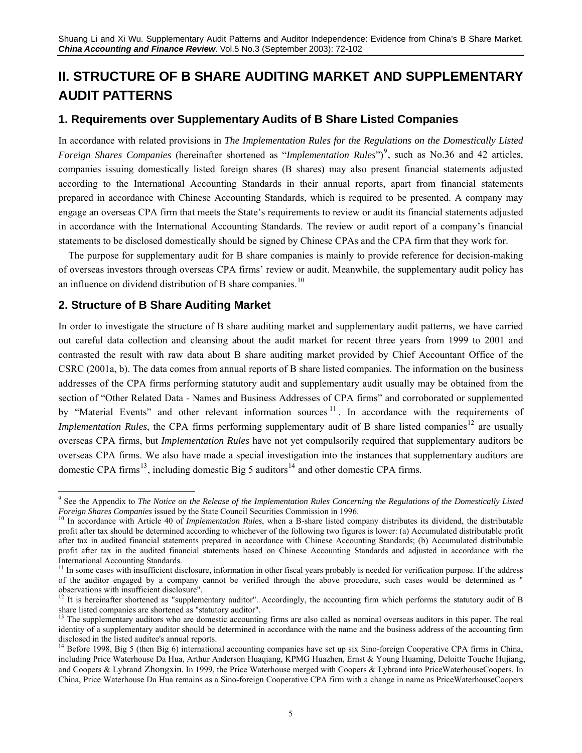# **II. STRUCTURE OF B SHARE AUDITING MARKET AND SUPPLEMENTARY AUDIT PATTERNS**

### **1. Requirements over Supplementary Audits of B Share Listed Companies**

In accordance with related provisions in *The Implementation Rules for the Regulations on the Domestically Listed Foreign Shares Companies* (hereinafter shortened as "*Implementation Rules*")<sup>[9](#page-4-0)</sup>, such as No.36 and 42 articles, companies issuing domestically listed foreign shares (B shares) may also present financial statements adjusted according to the International Accounting Standards in their annual reports, apart from financial statements prepared in accordance with Chinese Accounting Standards, which is required to be presented. A company may engage an overseas CPA firm that meets the State's requirements to review or audit its financial statements adjusted in accordance with the International Accounting Standards. The review or audit report of a company's financial statements to be disclosed domestically should be signed by Chinese CPAs and the CPA firm that they work for.

The purpose for supplementary audit for B share companies is mainly to provide reference for decision-making of overseas investors through overseas CPA firms' review or audit. Meanwhile, the supplementary audit policy has an influence on dividend distribution of B share companies.<sup>[10](#page-4-1)</sup>

## **2. Structure of B Share Auditing Market**

In order to investigate the structure of B share auditing market and supplementary audit patterns, we have carried out careful data collection and cleansing about the audit market for recent three years from 1999 to 2001 and contrasted the result with raw data about B share auditing market provided by Chief Accountant Office of the CSRC (2001a, b). The data comes from annual reports of B share listed companies. The information on the business addresses of the CPA firms performing statutory audit and supplementary audit usually may be obtained from the section of "Other Related Data - Names and Business Addresses of CPA firms" and corroborated or supplemented by "Material Events" and other relevant information sources<sup>[11](#page-4-2)</sup>. In accordance with the requirements of *Implementation Rules*, the CPA firms performing supplementary audit of B share listed companies<sup>[12](#page-4-3)</sup> are usually overseas CPA firms, but *Implementation Rules* have not yet compulsorily required that supplementary auditors be overseas CPA firms. We also have made a special investigation into the instances that supplementary auditors are domestic CPA firms<sup>[13](#page-4-4)</sup>, including domestic Big 5 auditors<sup>14</sup> and other domestic CPA firms.

<span id="page-4-0"></span> $\overline{a}$ 9 See the Appendix to *The Notice on the Release of the Implementation Rules Concerning the Regulations of the Domestically Listed*  Foreign Shares Companies issued by the State Council Securities Commission in 1996.<br><sup>10</sup> In accordance with Article 40 of *Implementation Rules*, when a B-share listed company distributes its dividend, the distributable

<span id="page-4-1"></span>profit after tax should be determined according to whichever of the following two figures is lower: (a) Accumulated distributable profit after tax in audited financial statements prepared in accordance with Chinese Accounting Standards; (b) Accumulated distributable profit after tax in the audited financial statements based on Chinese Accounting Standards and adjusted in accordance with the International Accounting Standards.

<span id="page-4-2"></span><sup>&</sup>lt;sup>11</sup> In some cases with insufficient disclosure, information in other fiscal years probably is needed for verification purpose. If the address of the auditor engaged by a company cannot be verified through the above procedure, such cases would be determined as " observations with insufficient disclosure".

<span id="page-4-3"></span><sup>&</sup>lt;sup>12</sup> It is hereinafter shortened as "supplementary auditor". Accordingly, the accounting firm which performs the statutory audit of B share listed companies are shortened as "statutory auditor".

<span id="page-4-4"></span><sup>&</sup>lt;sup>13</sup> The supplementary auditors who are domestic accounting firms are also called as nominal overseas auditors in this paper. The real identity of a supplementary auditor should be determined in accordance with the name and the business address of the accounting firm disclosed in the listed auditee's annual reports.

<span id="page-4-5"></span><sup>&</sup>lt;sup>14</sup> Before 1998, Big 5 (then Big 6) international accounting companies have set up six Sino-foreign Cooperative CPA firms in China, including Price Waterhouse Da Hua, Arthur Anderson Huaqiang, KPMG Huazhen, Ernst & Young Huaming, Deloitte Touche Hujiang, and Coopers & Lybrand Zhongxin. In 1999, the Price Waterhouse merged with Coopers & Lybrand into PriceWaterhouseCoopers. In China, Price Waterhouse Da Hua remains as a Sino-foreign Cooperative CPA firm with a change in name as PriceWaterhouseCoopers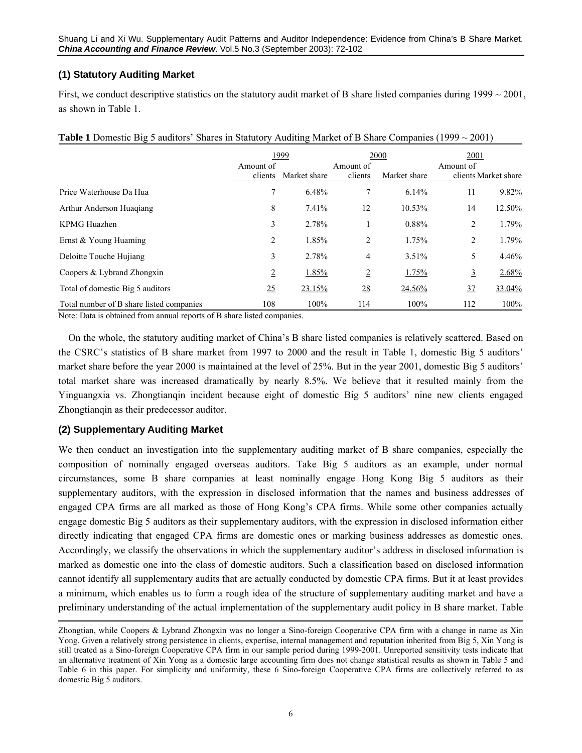## **(1) Statutory Auditing Market**

First, we conduct descriptive statistics on the statutory audit market of B share listed companies during  $1999 \sim 2001$ , as shown in Table 1.

|                                          |                | 1999         |                  | 2000         | 2001           |                      |  |
|------------------------------------------|----------------|--------------|------------------|--------------|----------------|----------------------|--|
|                                          | Amount of      |              | Amount of        |              | Amount of      |                      |  |
|                                          | clients        | Market share | clients          | Market share |                | clients Market share |  |
| Price Waterhouse Da Hua                  | 7              | 6.48%        |                  | 6.14%        | 11             | 9.82%                |  |
| Arthur Anderson Huagiang                 | 8              | 7.41%        | 12               | 10.53%       | 14             | 12.50%               |  |
| KPMG Huazhen                             | 3              | 2.78%        |                  | 0.88%        | 2              | 1.79%                |  |
| Ernst & Young Huaming                    | 2              | 1.85%        | 2                | 1.75%        | 2              | 1.79%                |  |
| Deloitte Touche Hujiang                  | 3              | 2.78%        | 4                | 3.51%        | 5              | 4.46%                |  |
| Coopers & Lybrand Zhongxin               | $\overline{2}$ | 1.85%        | $\overline{2}$   | 1.75%        | 3              | 2.68%                |  |
| Total of domestic Big 5 auditors         | 25             | 23.15%       | $\underline{28}$ | 24.56%       | $\frac{37}{2}$ | 33.04 <sup>%</sup>   |  |
| Total number of B share listed companies | 108            | 100%         | 114              | 100%         | 112            | 100%                 |  |

| <b>Table 1</b> Domestic Big 5 auditors' Shares in Statutory Auditing Market of B Share Companies (1999 $\sim$ 2001) |  |  |  |  |
|---------------------------------------------------------------------------------------------------------------------|--|--|--|--|
|---------------------------------------------------------------------------------------------------------------------|--|--|--|--|

Note: Data is obtained from annual reports of B share listed companies.

On the whole, the statutory auditing market of China's B share listed companies is relatively scattered. Based on the CSRC's statistics of B share market from 1997 to 2000 and the result in Table 1, domestic Big 5 auditors' market share before the year 2000 is maintained at the level of 25%. But in the year 2001, domestic Big 5 auditors' total market share was increased dramatically by nearly 8.5%. We believe that it resulted mainly from the Yinguangxia vs. Zhongtianqin incident because eight of domestic Big 5 auditors' nine new clients engaged Zhongtianqin as their predecessor auditor.

## **(2) Supplementary Auditing Market**

 $\overline{a}$ 

We then conduct an investigation into the supplementary auditing market of B share companies, especially the composition of nominally engaged overseas auditors. Take Big 5 auditors as an example, under normal circumstances, some B share companies at least nominally engage Hong Kong Big 5 auditors as their supplementary auditors, with the expression in disclosed information that the names and business addresses of engaged CPA firms are all marked as those of Hong Kong's CPA firms. While some other companies actually engage domestic Big 5 auditors as their supplementary auditors, with the expression in disclosed information either directly indicating that engaged CPA firms are domestic ones or marking business addresses as domestic ones. Accordingly, we classify the observations in which the supplementary auditor's address in disclosed information is marked as domestic one into the class of domestic auditors. Such a classification based on disclosed information cannot identify all supplementary audits that are actually conducted by domestic CPA firms. But it at least provides a minimum, which enables us to form a rough idea of the structure of supplementary auditing market and have a preliminary understanding of the actual implementation of the supplementary audit policy in B share market. Table

Zhongtian, while Coopers & Lybrand Zhongxin was no longer a Sino-foreign Cooperative CPA firm with a change in name as Xin Yong. Given a relatively strong persistence in clients, expertise, internal management and reputation inherited from Big 5, Xin Yong is still treated as a Sino-foreign Cooperative CPA firm in our sample period during 1999-2001. Unreported sensitivity tests indicate that an alternative treatment of Xin Yong as a domestic large accounting firm does not change statistical results as shown in Table 5 and Table 6 in this paper. For simplicity and uniformity, these 6 Sino-foreign Cooperative CPA firms are collectively referred to as domestic Big 5 auditors.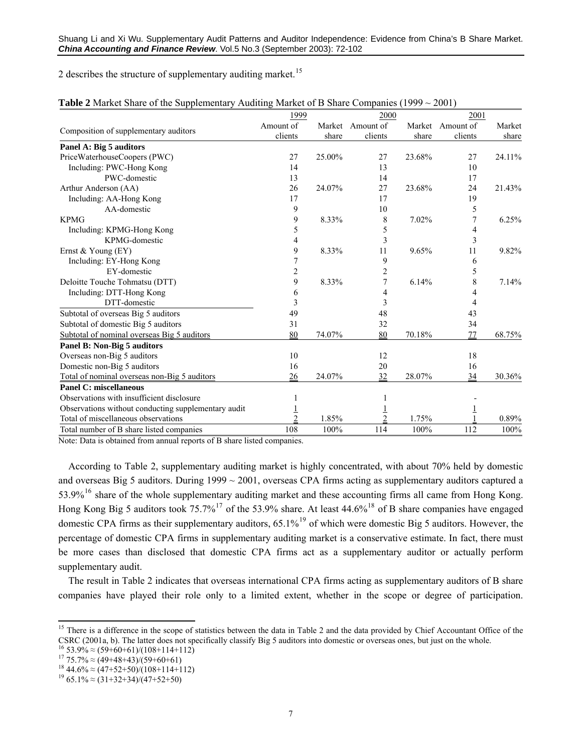2 describes the structure of supplementary auditing market.<sup>[15](#page-6-0)</sup>

|                                                     | 1999           |        | 2000      |        | 2001             |        |  |
|-----------------------------------------------------|----------------|--------|-----------|--------|------------------|--------|--|
| Composition of supplementary auditors               | Amount of      | Market | Amount of |        | Market Amount of | Market |  |
|                                                     | clients        | share  | clients   | share  | clients          | share  |  |
| Panel A: Big 5 auditors                             |                |        |           |        |                  |        |  |
| PriceWaterhouseCoopers (PWC)                        | 27             | 25.00% | 27        | 23.68% | 27               | 24.11% |  |
| Including: PWC-Hong Kong                            | 14             |        | 13        |        | 10               |        |  |
| PWC-domestic                                        | 13             |        | 14        |        | 17               |        |  |
| Arthur Anderson (AA)                                | 26             | 24.07% | 27        | 23.68% | 24               | 21.43% |  |
| Including: AA-Hong Kong                             | 17             |        | 17        |        | 19               |        |  |
| AA-domestic                                         | 9              |        | 10        |        | 5                |        |  |
| <b>KPMG</b>                                         | 9              | 8.33%  | 8         | 7.02%  | 7                | 6.25%  |  |
| Including: KPMG-Hong Kong                           | 5              |        | 5         |        | 4                |        |  |
| KPMG-domestic                                       | 4              |        | 3         |        | 3                |        |  |
| Ernst & Young $(EY)$                                | 9              | 8.33%  | 11        | 9.65%  | 11               | 9.82%  |  |
| Including: EY-Hong Kong                             | 7              |        | 9         |        | 6                |        |  |
| EY-domestic                                         | $\overline{c}$ |        | 2         |        | 5                |        |  |
| Deloitte Touche Tohmatsu (DTT)                      | 9              | 8.33%  | 7         | 6.14%  | 8                | 7.14%  |  |
| Including: DTT-Hong Kong                            | 6              |        | 4         |        |                  |        |  |
| DTT-domestic                                        | 3              |        | 3         |        | 4                |        |  |
| Subtotal of overseas Big 5 auditors                 | 49             |        | 48        |        | 43               |        |  |
| Subtotal of domestic Big 5 auditors                 | 31             |        | 32        |        | 34               |        |  |
| Subtotal of nominal overseas Big 5 auditors         | 80             | 74.07% | 80        | 70.18% | 77               | 68.75% |  |
| Panel B: Non-Big 5 auditors                         |                |        |           |        |                  |        |  |
| Overseas non-Big 5 auditors                         | 10             |        | 12        |        | 18               |        |  |
| Domestic non-Big 5 auditors                         | 16             |        | 20        |        | 16               |        |  |
| Total of nominal overseas non-Big 5 auditors        | 26             | 24.07% | 32        | 28.07% | 34               | 30.36% |  |
| <b>Panel C: miscellaneous</b>                       |                |        |           |        |                  |        |  |
| Observations with insufficient disclosure           |                |        |           |        |                  |        |  |
| Observations without conducting supplementary audit |                |        |           |        |                  |        |  |
| Total of miscellaneous observations                 |                | 1.85%  | 2         | 1.75%  |                  | 0.89%  |  |
| Total number of B share listed companies            | 108            | 100%   | 114       | 100%   | 112              | 100%   |  |

Note: Data is obtained from annual reports of B share listed companies.

According to Table 2, supplementary auditing market is highly concentrated, with about 70% held by domestic and overseas Big 5 auditors. During  $1999 \sim 2001$ , overseas CPA firms acting as supplementary auditors captured a 53.9%[16](#page-6-1) share of the whole supplementary auditing market and these accounting firms all came from Hong Kong. Hong Kong Big 5 auditors took 75.7%<sup>[17](#page-6-2)</sup> of the 53.9% share. At least 44.6%<sup>[18](#page-6-3)</sup> of B share companies have engaged domestic CPA firms as their supplementary auditors, 65.1%<sup>[19](#page-6-4)</sup> of which were domestic Big 5 auditors. However, the percentage of domestic CPA firms in supplementary auditing market is a conservative estimate. In fact, there must be more cases than disclosed that domestic CPA firms act as a supplementary auditor or actually perform supplementary audit.

The result in Table 2 indicates that overseas international CPA firms acting as supplementary auditors of B share companies have played their role only to a limited extent, whether in the scope or degree of participation.

<span id="page-6-0"></span><sup>&</sup>lt;u>.</u> <sup>15</sup> There is a difference in the scope of statistics between the data in Table 2 and the data provided by Chief Accountant Office of the CSRC (2001a, b). The latter does not specifically classify Big 5 auditors into domestic or overseas ones, but just on the whole.<br><sup>16</sup> 53.9%  $\approx$  (59+60+61)/(108+114+112)<br><sup>17</sup> 75.7%  $\approx$  (49+48+43)/(59+60+61)<br><sup>17</sup> 75.7%  $\$ 

<span id="page-6-2"></span><span id="page-6-1"></span>

<span id="page-6-3"></span>

<span id="page-6-4"></span>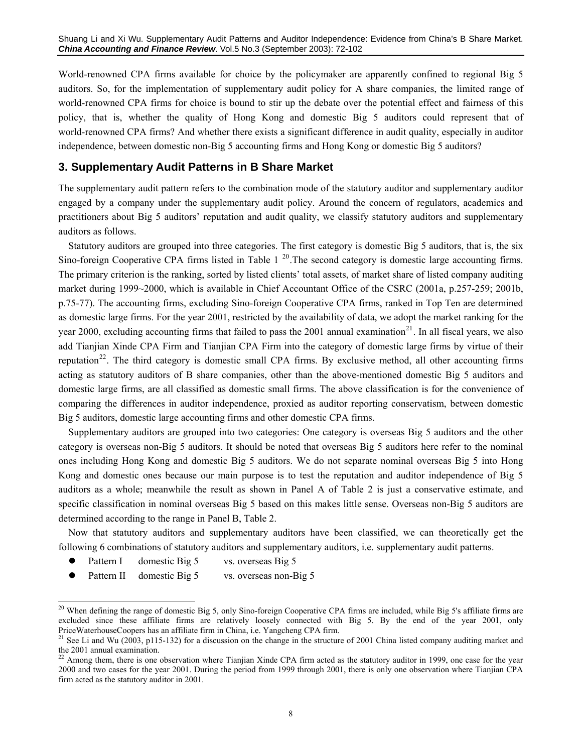World-renowned CPA firms available for choice by the policymaker are apparently confined to regional Big 5 auditors. So, for the implementation of supplementary audit policy for A share companies, the limited range of world-renowned CPA firms for choice is bound to stir up the debate over the potential effect and fairness of this policy, that is, whether the quality of Hong Kong and domestic Big 5 auditors could represent that of world-renowned CPA firms? And whether there exists a significant difference in audit quality, especially in auditor independence, between domestic non-Big 5 accounting firms and Hong Kong or domestic Big 5 auditors?

#### **3. Supplementary Audit Patterns in B Share Market**

The supplementary audit pattern refers to the combination mode of the statutory auditor and supplementary auditor engaged by a company under the supplementary audit policy. Around the concern of regulators, academics and practitioners about Big 5 auditors' reputation and audit quality, we classify statutory auditors and supplementary auditors as follows.

Statutory auditors are grouped into three categories. The first category is domestic Big 5 auditors, that is, the six Sino-foreign Cooperative CPA firms listed in Table  $1^{20}$  $1^{20}$  $1^{20}$ . The second category is domestic large accounting firms. The primary criterion is the ranking, sorted by listed clients' total assets, of market share of listed company auditing market during 1999~2000, which is available in Chief Accountant Office of the CSRC (2001a, p.257-259; 2001b, p.75-77). The accounting firms, excluding Sino-foreign Cooperative CPA firms, ranked in Top Ten are determined as domestic large firms. For the year 2001, restricted by the availability of data, we adopt the market ranking for the year 2000, excluding accounting firms that failed to pass the 2001 annual examination<sup>[21](#page-7-1)</sup>. In all fiscal years, we also add Tianjian Xinde CPA Firm and Tianjian CPA Firm into the category of domestic large firms by virtue of their reputation<sup>[22](#page-7-2)</sup>. The third category is domestic small CPA firms. By exclusive method, all other accounting firms acting as statutory auditors of B share companies, other than the above-mentioned domestic Big 5 auditors and domestic large firms, are all classified as domestic small firms. The above classification is for the convenience of comparing the differences in auditor independence, proxied as auditor reporting conservatism, between domestic Big 5 auditors, domestic large accounting firms and other domestic CPA firms.

Supplementary auditors are grouped into two categories: One category is overseas Big 5 auditors and the other category is overseas non-Big 5 auditors. It should be noted that overseas Big 5 auditors here refer to the nominal ones including Hong Kong and domestic Big 5 auditors. We do not separate nominal overseas Big 5 into Hong Kong and domestic ones because our main purpose is to test the reputation and auditor independence of Big 5 auditors as a whole; meanwhile the result as shown in Panel A of Table 2 is just a conservative estimate, and specific classification in nominal overseas Big 5 based on this makes little sense. Overseas non-Big 5 auditors are determined according to the range in Panel B, Table 2.

Now that statutory auditors and supplementary auditors have been classified, we can theoretically get the following 6 combinations of statutory auditors and supplementary auditors, i.e. supplementary audit patterns.

Pattern I domestic Big 5 vs. overseas Big 5

-

Pattern II domestic Big 5 vs. overseas non-Big 5

<span id="page-7-0"></span><sup>&</sup>lt;sup>20</sup> When defining the range of domestic Big 5, only Sino-foreign Cooperative CPA firms are included, while Big 5's affiliate firms are excluded since these affiliate firms are relatively loosely connected with Big 5. By the end of the year 2001, only PriceWaterhouseCoopers has an affiliate firm in China, i.e. Yangcheng CPA firm.<br><sup>21</sup> See Li and Wu (2003, p115-132) for a discussion on the change in the structure of 2001 China listed company auditing market and

<span id="page-7-1"></span>the 2001 annual examination.

<span id="page-7-2"></span>Among them, there is one observation where Tianjian Xinde CPA firm acted as the statutory auditor in 1999, one case for the year 2000 and two cases for the year 2001. During the period from 1999 through 2001, there is only one observation where Tianjian CPA firm acted as the statutory auditor in 2001.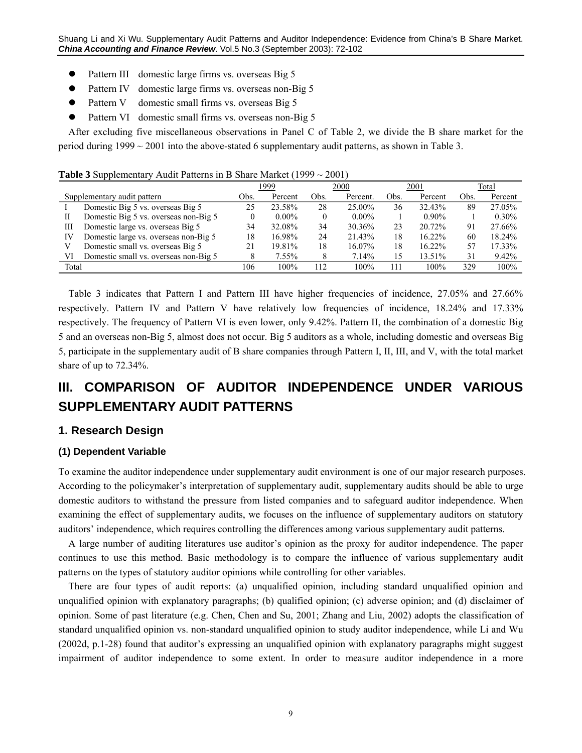- Pattern III domestic large firms vs. overseas Big 5
- Pattern IV domestic large firms vs. overseas non-Big 5
- Pattern V domestic small firms vs. overseas Big 5
- Pattern VI domestic small firms vs. overseas non-Big 5

After excluding five miscellaneous observations in Panel C of Table 2, we divide the B share market for the period during 1999 ~ 2001 into the above-stated 6 supplementary audit patterns, as shown in Table 3.

**Table 3** Supplementary Audit Patterns in B Share Market (1999 ~ 2001)

|       | . .                                   | 1999 |          | 2000 |           | 2001 |           | Total |          |
|-------|---------------------------------------|------|----------|------|-----------|------|-----------|-------|----------|
|       | Supplementary audit pattern           | Obs. | Percent  | Obs. | Percent.  | Obs. | Percent   | Obs.  | Percent  |
|       | Domestic Big 5 vs. overseas Big 5     | 25   | 23.58%   | 28   | $25.00\%$ | 36   | 32.43%    | 89    | 27.05%   |
| Н     | Domestic Big 5 vs. overseas non-Big 5 |      | $0.00\%$ |      | $0.00\%$  |      | $0.90\%$  |       | $0.30\%$ |
| Ш     | Domestic large vs. overseas Big 5     | 34   | 32.08%   | 34   | 30.36%    | 23   | 20.72%    | 91    | 27.66%   |
| IV    | Domestic large vs. overseas non-Big 5 | 18   | 16.98%   | 24   | 21.43%    | 18   | $16.22\%$ | 60    | 18.24%   |
|       | Domestic small vs. overseas Big 5     |      | 19.81%   | 18   | $16.07\%$ | 18   | $16.22\%$ | 57    | 17.33%   |
| VI    | Domestic small vs. overseas non-Big 5 |      | 7.55%    |      | 7.14%     | 15   | 13.51%    | 31    | 9.42%    |
| Total |                                       | 106  | 100%     | 112  | 100%      | 111  | 100%      | 329   | 100%     |

Table 3 indicates that Pattern I and Pattern III have higher frequencies of incidence, 27.05% and 27.66% respectively. Pattern IV and Pattern V have relatively low frequencies of incidence, 18.24% and 17.33% respectively. The frequency of Pattern VI is even lower, only 9.42%. Pattern II, the combination of a domestic Big 5 and an overseas non-Big 5, almost does not occur. Big 5 auditors as a whole, including domestic and overseas Big 5, participate in the supplementary audit of B share companies through Pattern I, II, III, and V, with the total market share of up to 72.34%.

# **III. COMPARISON OF AUDITOR INDEPENDENCE UNDER VARIOUS SUPPLEMENTARY AUDIT PATTERNS**

#### **1. Research Design**

#### **(1) Dependent Variable**

To examine the auditor independence under supplementary audit environment is one of our major research purposes. According to the policymaker's interpretation of supplementary audit, supplementary audits should be able to urge domestic auditors to withstand the pressure from listed companies and to safeguard auditor independence. When examining the effect of supplementary audits, we focuses on the influence of supplementary auditors on statutory auditors' independence, which requires controlling the differences among various supplementary audit patterns.

A large number of auditing literatures use auditor's opinion as the proxy for auditor independence. The paper continues to use this method. Basic methodology is to compare the influence of various supplementary audit patterns on the types of statutory auditor opinions while controlling for other variables.

There are four types of audit reports: (a) unqualified opinion, including standard unqualified opinion and unqualified opinion with explanatory paragraphs; (b) qualified opinion; (c) adverse opinion; and (d) disclaimer of opinion. Some of past literature (e.g. Chen, Chen and Su, 2001; Zhang and Liu, 2002) adopts the classification of standard unqualified opinion vs. non-standard unqualified opinion to study auditor independence, while Li and Wu (2002d, p.1-28) found that auditor's expressing an unqualified opinion with explanatory paragraphs might suggest impairment of auditor independence to some extent. In order to measure auditor independence in a more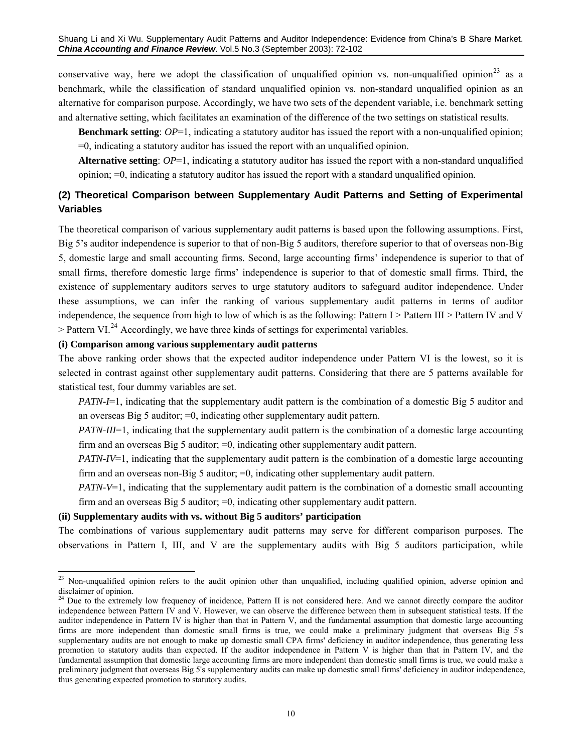conservative way, here we adopt the classification of unqualified opinion vs. non-unqualified opinion<sup>[23](#page-9-0)</sup> as a benchmark, while the classification of standard unqualified opinion vs. non-standard unqualified opinion as an alternative for comparison purpose. Accordingly, we have two sets of the dependent variable, i.e. benchmark setting and alternative setting, which facilitates an examination of the difference of the two settings on statistical results.

**Benchmark setting**:  $OP=1$ , indicating a statutory auditor has issued the report with a non-unqualified opinion; =0, indicating a statutory auditor has issued the report with an unqualified opinion.

**Alternative setting**:  $OP=1$ , indicating a statutory auditor has issued the report with a non-standard unqualified opinion; =0, indicating a statutory auditor has issued the report with a standard unqualified opinion.

# **(2) Theoretical Comparison between Supplementary Audit Patterns and Setting of Experimental Variables**

The theoretical comparison of various supplementary audit patterns is based upon the following assumptions. First, Big 5's auditor independence is superior to that of non-Big 5 auditors, therefore superior to that of overseas non-Big 5, domestic large and small accounting firms. Second, large accounting firms' independence is superior to that of small firms, therefore domestic large firms' independence is superior to that of domestic small firms. Third, the existence of supplementary auditors serves to urge statutory auditors to safeguard auditor independence. Under these assumptions, we can infer the ranking of various supplementary audit patterns in terms of auditor independence, the sequence from high to low of which is as the following: Pattern I > Pattern III > Pattern IV and V  $>$  Pattern VI.<sup>[24](#page-9-1)</sup> Accordingly, we have three kinds of settings for experimental variables.

## **(i) Comparison among various supplementary audit patterns**

The above ranking order shows that the expected auditor independence under Pattern VI is the lowest, so it is selected in contrast against other supplementary audit patterns. Considering that there are 5 patterns available for statistical test, four dummy variables are set.

*PATN-I*=1, indicating that the supplementary audit pattern is the combination of a domestic Big 5 auditor and an overseas Big 5 auditor; =0, indicating other supplementary audit pattern.

*PATN-III*=1, indicating that the supplementary audit pattern is the combination of a domestic large accounting firm and an overseas Big 5 auditor; =0, indicating other supplementary audit pattern.

*PATN-IV*=1, indicating that the supplementary audit pattern is the combination of a domestic large accounting firm and an overseas non-Big 5 auditor; =0, indicating other supplementary audit pattern.

*PATN-V*=1, indicating that the supplementary audit pattern is the combination of a domestic small accounting firm and an overseas Big 5 auditor; =0, indicating other supplementary audit pattern.

#### **(ii) Supplementary audits with vs. without Big 5 auditors' participation**

The combinations of various supplementary audit patterns may serve for different comparison purposes. The observations in Pattern I, III, and V are the supplementary audits with Big 5 auditors participation, while

<span id="page-9-0"></span> $\overline{a}$  $^{23}$  Non-unqualified opinion refers to the audit opinion other than unqualified, including qualified opinion, adverse opinion and disclaimer of opinion.

<span id="page-9-1"></span><sup>&</sup>lt;sup>24</sup> Due to the extremely low frequency of incidence, Pattern II is not considered here. And we cannot directly compare the auditor independence between Pattern IV and V. However, we can observe the difference between them in subsequent statistical tests. If the auditor independence in Pattern IV is higher than that in Pattern V, and the fundamental assumption that domestic large accounting firms are more independent than domestic small firms is true, we could make a preliminary judgment that overseas Big 5's supplementary audits are not enough to make up domestic small CPA firms' deficiency in auditor independence, thus generating less promotion to statutory audits than expected. If the auditor independence in Pattern V is higher than that in Pattern IV, and the fundamental assumption that domestic large accounting firms are more independent than domestic small firms is true, we could make a preliminary judgment that overseas Big 5's supplementary audits can make up domestic small firms' deficiency in auditor independence, thus generating expected promotion to statutory audits.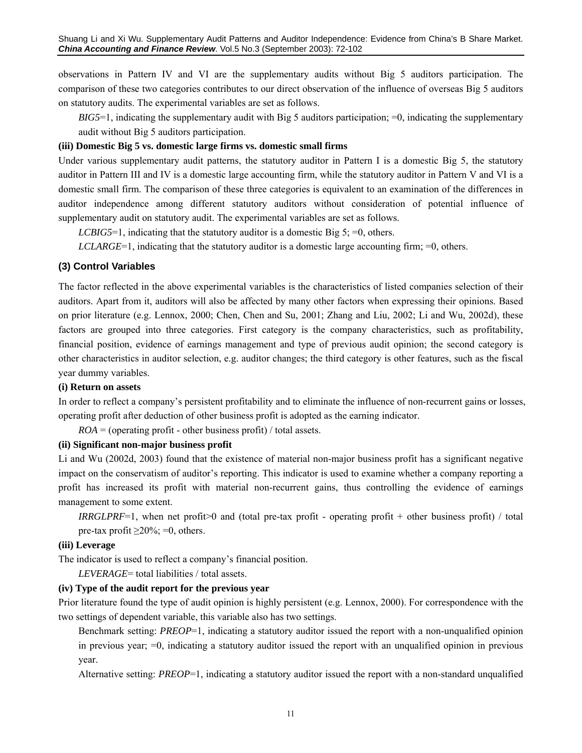observations in Pattern IV and VI are the supplementary audits without Big 5 auditors participation. The comparison of these two categories contributes to our direct observation of the influence of overseas Big 5 auditors on statutory audits. The experimental variables are set as follows.

*BIG5*=1, indicating the supplementary audit with Big 5 auditors participation; =0, indicating the supplementary audit without Big 5 auditors participation.

#### **(iii) Domestic Big 5 vs. domestic large firms vs. domestic small firms**

Under various supplementary audit patterns, the statutory auditor in Pattern I is a domestic Big 5, the statutory auditor in Pattern III and IV is a domestic large accounting firm, while the statutory auditor in Pattern V and VI is a domestic small firm. The comparison of these three categories is equivalent to an examination of the differences in auditor independence among different statutory auditors without consideration of potential influence of supplementary audit on statutory audit. The experimental variables are set as follows.

*LCBIG5*=1, indicating that the statutory auditor is a domestic Big 5; =0, others.

 $LCLARGE=1$ , indicating that the statutory auditor is a domestic large accounting firm;  $=0$ , others.

#### **(3) Control Variables**

The factor reflected in the above experimental variables is the characteristics of listed companies selection of their auditors. Apart from it, auditors will also be affected by many other factors when expressing their opinions. Based on prior literature (e.g. Lennox, 2000; Chen, Chen and Su, 2001; Zhang and Liu, 2002; Li and Wu, 2002d), these factors are grouped into three categories. First category is the company characteristics, such as profitability, financial position, evidence of earnings management and type of previous audit opinion; the second category is other characteristics in auditor selection, e.g. auditor changes; the third category is other features, such as the fiscal year dummy variables.

#### **(i) Return on assets**

In order to reflect a company's persistent profitability and to eliminate the influence of non-recurrent gains or losses, operating profit after deduction of other business profit is adopted as the earning indicator.

 $ROA =$  (operating profit - other business profit) / total assets.

#### **(ii) Significant non-major business profit**

Li and Wu (2002d, 2003) found that the existence of material non-major business profit has a significant negative impact on the conservatism of auditor's reporting. This indicator is used to examine whether a company reporting a profit has increased its profit with material non-recurrent gains, thus controlling the evidence of earnings management to some extent.

*IRRGLPRF*=1, when net profit>0 and (total pre-tax profit - operating profit + other business profit) / total pre-tax profit  $\geq$ 20%; =0, others.

#### **(iii) Leverage**

The indicator is used to reflect a company's financial position.

*LEVERAGE*= total liabilities / total assets.

#### **(iv) Type of the audit report for the previous year**

Prior literature found the type of audit opinion is highly persistent (e.g. Lennox, 2000). For correspondence with the two settings of dependent variable, this variable also has two settings.

Benchmark setting: *PREOP*=1, indicating a statutory auditor issued the report with a non-unqualified opinion in previous year; =0, indicating a statutory auditor issued the report with an unqualified opinion in previous year.

Alternative setting: *PREOP*=1, indicating a statutory auditor issued the report with a non-standard unqualified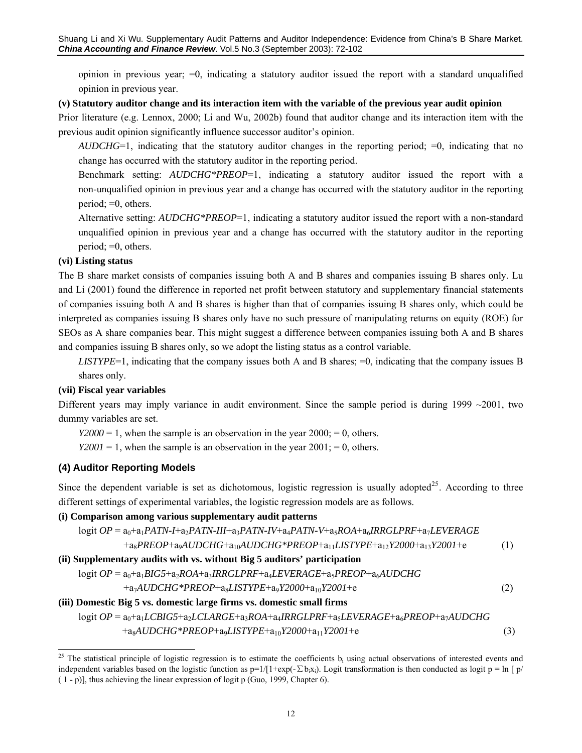opinion in previous year;  $=0$ , indicating a statutory auditor issued the report with a standard unqualified opinion in previous year.

#### **(v) Statutory auditor change and its interaction item with the variable of the previous year audit opinion**

Prior literature (e.g. Lennox, 2000; Li and Wu, 2002b) found that auditor change and its interaction item with the previous audit opinion significantly influence successor auditor's opinion.

*AUDCHG*=1, indicating that the statutory auditor changes in the reporting period; =0, indicating that no change has occurred with the statutory auditor in the reporting period.

Benchmark setting: *AUDCHG\*PREOP*=1, indicating a statutory auditor issued the report with a non-unqualified opinion in previous year and a change has occurred with the statutory auditor in the reporting period; =0, others.

Alternative setting: *AUDCHG\*PREOP*=1, indicating a statutory auditor issued the report with a non-standard unqualified opinion in previous year and a change has occurred with the statutory auditor in the reporting period; =0, others.

#### **(vi) Listing status**

The B share market consists of companies issuing both A and B shares and companies issuing B shares only. Lu and Li (2001) found the difference in reported net profit between statutory and supplementary financial statements of companies issuing both A and B shares is higher than that of companies issuing B shares only, which could be interpreted as companies issuing B shares only have no such pressure of manipulating returns on equity (ROE) for SEOs as A share companies bear. This might suggest a difference between companies issuing both A and B shares and companies issuing B shares only, so we adopt the listing status as a control variable.

*LISTYPE*=1, indicating that the company issues both A and B shares; =0, indicating that the company issues B shares only.

#### **(vii) Fiscal year variables**

Different years may imply variance in audit environment. Since the sample period is during  $1999 \sim 2001$ , two dummy variables are set.

*Y2000* = 1, when the sample is an observation in the year  $2000$ ; = 0, others.

*Y2001* = 1, when the sample is an observation in the year  $2001$ ; = 0, others.

## **(4) Auditor Reporting Models**

Since the dependent variable is set as dichotomous, logistic regression is usually adopted<sup>[25](#page-11-0)</sup>. According to three different settings of experimental variables, the logistic regression models are as follows.

## **(i) Comparison among various supplementary audit patterns**

$$
logit OP = a_0 + a_1 PATN - H + a_2 PATN - III + a_3 PATN - IV + a_4 PATN - V + a_5 ROA + a_6 IRRGLPRF + a_7 LEVERAGE
$$
  
\n
$$
+ a_8 PREOP + a_9 A UDCHG + a_{10} A UDCHG * PREOP + a_{11} LISTYPE + a_{12} Y2000 + a_{13} Y2001 + e
$$
  
\n(ii) Supplementary adults with vs. without Big 5 auditors' participation  
\n
$$
logit OP = a_0 + a_1 BIG5 + a_2 ROA + a_3 IRRGLPRF + a_4 LEVERAGE + a_5 PREOP + a_6 A UDCHG
$$
  
\n
$$
+ a_7 A UDCHG * PREOP + a_8 LISTYPE + a_9 Y2000 + a_{10} Y2001 + e
$$
  
\n(iii) Domestic Big 5 vs. domestic large firms vs. domestic small firms  
\n
$$
logit OP = a_0 + a_1 LCBIG5 + a_2 LCLARGE + a_3 ROA + a_4 IRRGLPRF + a_5 LEVERAGE + a_6 PREOP + a_7 A UDCHG
$$
  
\n(2)

$$
+a8AUDCHG*PREOP+a9LISTYPE+a10Y2000+a11Y2001+e
$$
\n(3)

<span id="page-11-0"></span><sup>&</sup>lt;u>.</u> <sup>25</sup> The statistical principle of logistic regression is to estimate the coefficients  $b_i$  using actual observations of interested events and independent variables based on the logistic function as  $p=1/[1+exp(-\sum b_i x_i)]$ . Logit transformation is then conducted as logit  $p = \ln \left[ p / (p + 1) \right]$ ( 1 - p)], thus achieving the linear expression of logit p (Guo, 1999, Chapter 6).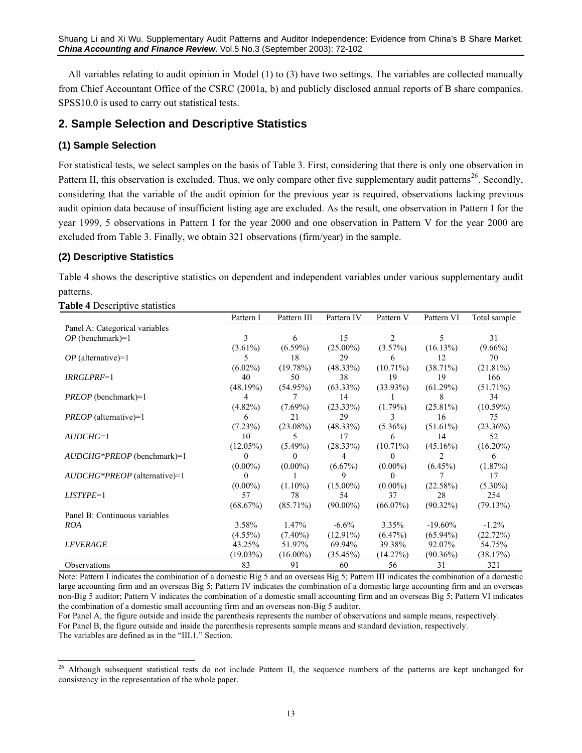Shuang Li and Xi Wu. Supplementary Audit Patterns and Auditor Independence: Evidence from China's B Share Market. *China Accounting and Finance Review*. Vol.5 No.3 (September 2003): 72-102

All variables relating to audit opinion in Model (1) to (3) have two settings. The variables are collected manually from Chief Accountant Office of the CSRC (2001a, b) and publicly disclosed annual reports of B share companies. SPSS10.0 is used to carry out statistical tests.

## **2. Sample Selection and Descriptive Statistics**

### **(1) Sample Selection**

For statistical tests, we select samples on the basis of Table 3. First, considering that there is only one observation in Pattern II, this observation is excluded. Thus, we only compare other five supplementary audit patterns<sup>[26](#page-12-0)</sup>. Secondly, considering that the variable of the audit opinion for the previous year is required, observations lacking previous audit opinion data because of insufficient listing age are excluded. As the result, one observation in Pattern I for the year 1999, 5 observations in Pattern I for the year 2000 and one observation in Pattern V for the year 2000 are excluded from Table 3. Finally, we obtain 321 observations (firm/year) in the sample.

#### **(2) Descriptive Statistics**

Table 4 shows the descriptive statistics on dependent and independent variables under various supplementary audit patterns.

| $\ldots$                       |             |             |             |             |                |              |
|--------------------------------|-------------|-------------|-------------|-------------|----------------|--------------|
|                                | Pattern I   | Pattern III | Pattern IV  | Pattern V   | Pattern VI     | Total sample |
| Panel A: Categorical variables |             |             |             |             |                |              |
| $OP$ (benchmark)=1             | 3           | 6           | 15          | 2           | 5.             | 31           |
|                                | $(3.61\%)$  | $(6.59\%)$  | $(25.00\%)$ | $(3.57\%)$  | (16.13%)       | $(9.66\%)$   |
| $OP$ (alternative)=1           | 5.          | 18          | 29          | 6           | 12             | 70           |
|                                | $(6.02\%)$  | (19.78%)    | $(48.33\%)$ | $(10.71\%)$ | $(38.71\%)$    | $(21.81\%)$  |
| IRRGLPRF=1                     | 40          | 50          | 38          | 19          | 19             | 166          |
|                                | (48.19%)    | $(54.95\%)$ | $(63.33\%)$ | $(33.93\%)$ | (61.29%)       | $(51.71\%)$  |
| $PREOP$ (benchmark)=1          | 4           |             | 14          |             | 8              | 34           |
|                                | $(4.82\%)$  | $(7.69\%)$  | $(23.33\%)$ | $(1.79\%)$  | $(25.81\%)$    | $(10.59\%)$  |
| <i>PREOP</i> (alternative)=1   | 6           | 2.1         | 29          |             | 16             | 75           |
|                                | (7.23%)     | $(23.08\%)$ | $(48.33\%)$ | $(5.36\%)$  | $(51.61\%)$    | $(23.36\%)$  |
| $AUDCHG=1$                     | 10          | 5           | 17          | 6           | 14             | 52           |
|                                | $(12.05\%)$ | $(5.49\%)$  | (28.33%)    | $(10.71\%)$ | $(45.16\%)$    | $(16.20\%)$  |
| AUDCHG*PREOP (benchmark)=1     | 0           | 0           | 4           | $\theta$    | $\mathfrak{D}$ | 6            |
|                                | $(0.00\%)$  | $(0.00\%)$  | $(6.67\%)$  | $(0.00\%)$  | $(6.45\%)$     | $(1.87\%)$   |
| AUDCHG*PREOP (alternative)=1   | 0           |             | 9           | $\Omega$    |                | 17           |
|                                | $(0.00\%)$  | $(1.10\%)$  | $(15.00\%)$ | $(0.00\%)$  | (22.58%)       | $(5.30\%)$   |
| LISTYPE=1                      | 57          | 78          | 54          | 37          | 28             | 254          |
|                                | (68.67%)    | $(85.71\%)$ | $(90.00\%)$ | $(66.07\%)$ | $(90.32\%)$    | (79.13%)     |
| Panel B: Continuous variables  |             |             |             |             |                |              |
| <b>ROA</b>                     | 3.58%       | 1.47%       | $-6.6\%$    | $3.35\%$    | $-19.60\%$     | $-1.2\%$     |
|                                | $(4.55\%)$  | $(7.40\%)$  | $(12.91\%)$ | $(6.47\%)$  | $(65.94\%)$    | (22.72%)     |
| <b>LEVERAGE</b>                | 43.25%      | 51.97%      | 69.94%      | 39.38%      | 92.07%         | 54.75%       |
|                                | $(19.03\%)$ | $(16.00\%)$ | (35.45%)    | (14.27%)    | $(90.36\%)$    | (38.17%)     |
| Observations                   | 83          | 91          | 60          | 56          | 31             | 321          |

**Table 4 Descriptive statistics** 

 $\overline{a}$ 

Note: Pattern I indicates the combination of a domestic Big 5 and an overseas Big 5; Pattern III indicates the combination of a domestic large accounting firm and an overseas Big 5; Pattern IV indicates the combination of a domestic large accounting firm and an overseas non-Big 5 auditor; Pattern V indicates the combination of a domestic small accounting firm and an overseas Big 5; Pattern VI indicates the combination of a domestic small accounting firm and an overseas non-Big 5 auditor.

For Panel A, the figure outside and inside the parenthesis represents the number of observations and sample means, respectively. For Panel B, the figure outside and inside the parenthesis represents sample means and standard deviation, respectively. The variables are defined as in the "III.1." Section.

<span id="page-12-0"></span><sup>&</sup>lt;sup>26</sup> Although subsequent statistical tests do not include Pattern II, the sequence numbers of the patterns are kept unchanged for consistency in the representation of the whole paper.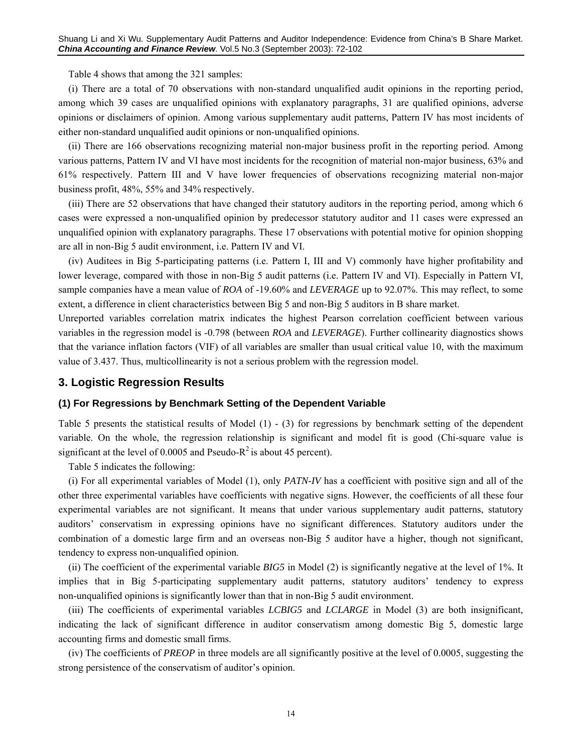Table 4 shows that among the 321 samples:

(i) There are a total of 70 observations with non-standard unqualified audit opinions in the reporting period, among which 39 cases are unqualified opinions with explanatory paragraphs, 31 are qualified opinions, adverse opinions or disclaimers of opinion. Among various supplementary audit patterns, Pattern IV has most incidents of either non-standard unqualified audit opinions or non-unqualified opinions.

(ii) There are 166 observations recognizing material non-major business profit in the reporting period. Among various patterns, Pattern IV and VI have most incidents for the recognition of material non-major business, 63% and 61% respectively. Pattern III and V have lower frequencies of observations recognizing material non-major business profit, 48%, 55% and 34% respectively.

(iii) There are 52 observations that have changed their statutory auditors in the reporting period, among which 6 cases were expressed a non-unqualified opinion by predecessor statutory auditor and 11 cases were expressed an unqualified opinion with explanatory paragraphs. These 17 observations with potential motive for opinion shopping are all in non-Big 5 audit environment, i.e. Pattern IV and VI.

(iv) Auditees in Big 5-participating patterns (i.e. Pattern I, III and V) commonly have higher profitability and lower leverage, compared with those in non-Big 5 audit patterns (i.e. Pattern IV and VI). Especially in Pattern VI, sample companies have a mean value of *ROA* of -19.60% and *LEVERAGE* up to 92.07%. This may reflect, to some extent, a difference in client characteristics between Big 5 and non-Big 5 auditors in B share market.

Unreported variables correlation matrix indicates the highest Pearson correlation coefficient between various variables in the regression model is -0.798 (between *ROA* and *LEVERAGE*). Further collinearity diagnostics shows that the variance inflation factors (VIF) of all variables are smaller than usual critical value 10, with the maximum value of 3.437. Thus, multicollinearity is not a serious problem with the regression model.

#### **3. Logistic Regression Results**

#### **(1) For Regressions by Benchmark Setting of the Dependent Variable**

Table 5 presents the statistical results of Model (1) - (3) for regressions by benchmark setting of the dependent variable. On the whole, the regression relationship is significant and model fit is good (Chi-square value is significant at the level of 0.0005 and Pseudo- $R^2$  is about 45 percent).

Table 5 indicates the following:

(i) For all experimental variables of Model (1), only *PATN-IV* has a coefficient with positive sign and all of the other three experimental variables have coefficients with negative signs. However, the coefficients of all these four experimental variables are not significant. It means that under various supplementary audit patterns, statutory auditors' conservatism in expressing opinions have no significant differences. Statutory auditors under the combination of a domestic large firm and an overseas non-Big 5 auditor have a higher, though not significant, tendency to express non-unqualified opinion.

(ii) The coefficient of the experimental variable *BIG5* in Model (2) is significantly negative at the level of 1%. It implies that in Big 5-participating supplementary audit patterns, statutory auditors' tendency to express non-unqualified opinions is significantly lower than that in non-Big 5 audit environment.

(iii) The coefficients of experimental variables *LCBIG5* and *LCLARGE* in Model (3) are both insignificant, indicating the lack of significant difference in auditor conservatism among domestic Big 5, domestic large accounting firms and domestic small firms.

(iv) The coefficients of *PREOP* in three models are all significantly positive at the level of 0.0005, suggesting the strong persistence of the conservatism of auditor's opinion.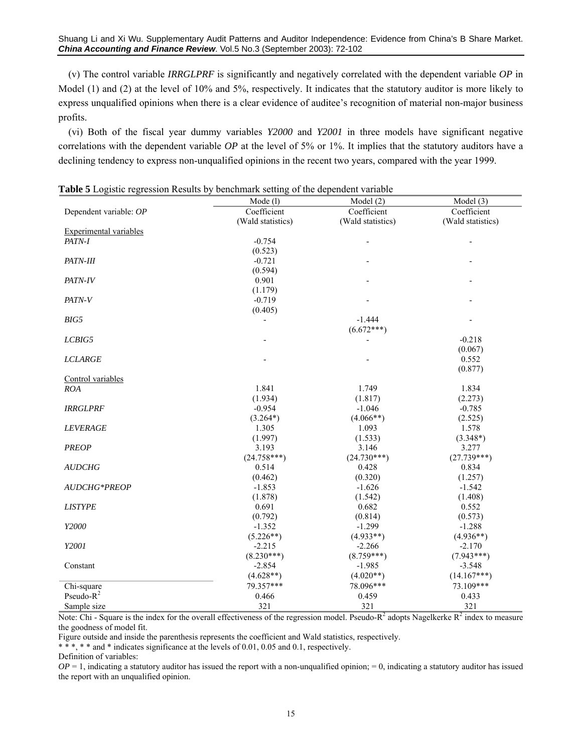Shuang Li and Xi Wu. Supplementary Audit Patterns and Auditor Independence: Evidence from China's B Share Market. *China Accounting and Finance Review*. Vol.5 No.3 (September 2003): 72-102

(v) The control variable *IRRGLPRF* is significantly and negatively correlated with the dependent variable *OP* in Model (1) and (2) at the level of 10% and 5%, respectively. It indicates that the statutory auditor is more likely to express unqualified opinions when there is a clear evidence of auditee's recognition of material non-major business profits.

(vi) Both of the fiscal year dummy variables *Y2000* and *Y2001* in three models have significant negative correlations with the dependent variable *OP* at the level of 5% or 1%. It implies that the statutory auditors have a declining tendency to express non-unqualified opinions in the recent two years, compared with the year 1999.

| <b>Table 5</b> Logistic regression Results by benchmark setting of the dependent variable | Mode (l)          | Model (2)         | Model (3)         |  |
|-------------------------------------------------------------------------------------------|-------------------|-------------------|-------------------|--|
| Dependent variable: OP                                                                    | Coefficient       | Coefficient       | Coefficient       |  |
|                                                                                           | (Wald statistics) | (Wald statistics) | (Wald statistics) |  |
| <b>Experimental variables</b>                                                             |                   |                   |                   |  |
| PATN-I                                                                                    | $-0.754$          |                   |                   |  |
|                                                                                           | (0.523)           |                   |                   |  |
| PATN-III                                                                                  | $-0.721$          |                   |                   |  |
|                                                                                           | (0.594)           |                   |                   |  |
| PATN-IV                                                                                   | 0.901             |                   |                   |  |
|                                                                                           | (1.179)           |                   |                   |  |
| PATN-V                                                                                    | $-0.719$          |                   |                   |  |
|                                                                                           | (0.405)           |                   |                   |  |
| BIG5                                                                                      |                   | $-1.444$          |                   |  |
|                                                                                           |                   | $(6.672***)$      |                   |  |
| LCBIG5                                                                                    |                   |                   | $-0.218$          |  |
|                                                                                           |                   |                   | (0.067)           |  |
| <b>LCLARGE</b>                                                                            |                   |                   | 0.552             |  |
|                                                                                           |                   |                   | (0.877)           |  |
| Control variables                                                                         |                   |                   |                   |  |
| ROA                                                                                       | 1.841             | 1.749             | 1.834             |  |
|                                                                                           | (1.934)           | (1.817)           | (2.273)           |  |
| <b>IRRGLPRF</b>                                                                           | $-0.954$          | $-1.046$          | $-0.785$          |  |
|                                                                                           | $(3.264*)$        | $(4.066**)$       | (2.525)           |  |
| <b>LEVERAGE</b>                                                                           | 1.305             | 1.093             | 1.578             |  |
|                                                                                           | (1.997)           | (1.533)           | $(3.348*)$        |  |
| <b>PREOP</b>                                                                              | 3.193             | 3.146             | 3.277             |  |
|                                                                                           | $(24.758***)$     | $(24.730***)$     | $(27.739***)$     |  |
| <b>AUDCHG</b>                                                                             | 0.514             | 0.428             | 0.834             |  |
|                                                                                           | (0.462)           | (0.320)           | (1.257)           |  |
| <b>AUDCHG*PREOP</b>                                                                       | $-1.853$          | $-1.626$          | $-1.542$          |  |
|                                                                                           | (1.878)           | (1.542)           | (1.408)           |  |
| <b>LISTYPE</b>                                                                            | 0.691             | 0.682             | 0.552             |  |
|                                                                                           | (0.792)           | (0.814)           | (0.573)           |  |
| Y2000                                                                                     | $-1.352$          | $-1.299$          | $-1.288$          |  |
|                                                                                           | $(5.226**)$       | $(4.933**)$       | $(4.936**)$       |  |
| Y2001                                                                                     | $-2.215$          | $-2.266$          | $-2.170$          |  |
|                                                                                           |                   | $(8.759***)$      |                   |  |
|                                                                                           | $(8.230***)$      |                   | $(7.943***)$      |  |
| Constant                                                                                  | $-2.854$          | $-1.985$          | $-3.548$          |  |
|                                                                                           | $(4.628**)$       | $(4.020**)$       | $(14.167***)$     |  |
| Chi-square                                                                                | 79.357***         | 78.096***         | 73.109***         |  |
| Pseudo- $R^2$                                                                             | 0.466             | 0.459             | 0.433             |  |
| Sample size                                                                               | 321               | 321               | 321               |  |

**Table 5** Logistic regression Results by benchmark setting of the dependent variable

Note: Chi - Square is the index for the overall effectiveness of the regression model. Pseudo- $R^2$  adopts Nagelkerke  $R^2$  index to measure the goodness of model fit.

Figure outside and inside the parenthesis represents the coefficient and Wald statistics, respectively.

\* \* \*, \* \* and \* indicates significance at the levels of 0.01, 0.05 and 0.1, respectively.

Definition of variables:

 $OP = 1$ , indicating a statutory auditor has issued the report with a non-unqualified opinion;  $= 0$ , indicating a statutory auditor has issued the report with an unqualified opinion.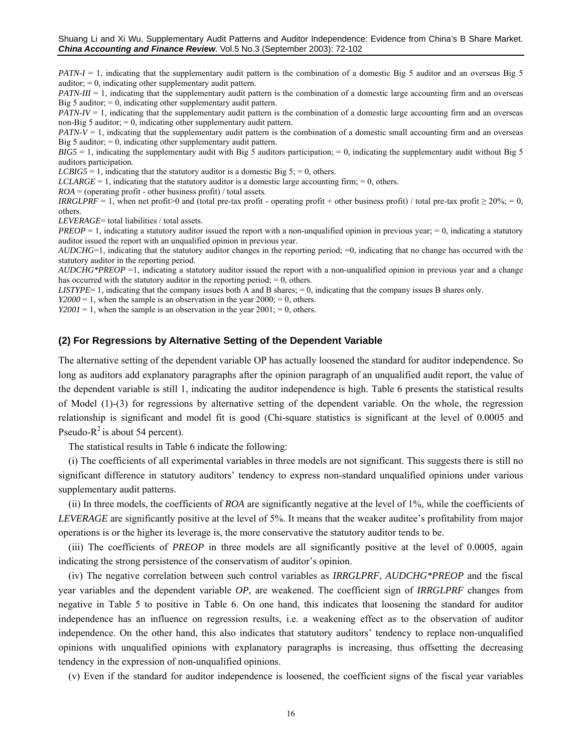*PATN-I* = 1, indicating that the supplementary audit pattern is the combination of a domestic Big 5 auditor and an overseas Big 5 auditor;  $= 0$ , indicating other supplementary audit pattern.

 $PATN-III = 1$ , indicating that the supplementary audit pattern is the combination of a domestic large accounting firm and an overseas Big 5 auditor;  $= 0$ , indicating other supplementary audit pattern.

*PATN-IV* = 1, indicating that the supplementary audit pattern is the combination of a domestic large accounting firm and an overseas non-Big 5 auditor;  $= 0$ , indicating other supplementary audit pattern.

*PATN-V* = 1, indicating that the supplementary audit pattern is the combination of a domestic small accounting firm and an overseas Big 5 auditor;  $= 0$ , indicating other supplementary audit pattern.

 $BIG5 = 1$ , indicating the supplementary audit with Big 5 auditors participation; = 0, indicating the supplementary audit without Big 5 auditors participation.

*LCBIG5* = 1, indicating that the statutory auditor is a domestic Big 5; = 0, others.

 $LCLARGE = 1$ , indicating that the statutory auditor is a domestic large accounting firm;  $= 0$ , others.

 $ROA =$  (operating profit - other business profit) / total assets.

*IRRGLPRF* = 1, when net profit>0 and (total pre-tax profit - operating profit + other business profit) / total pre-tax profit  $\geq 20\%$ ; = 0, others.

*LEVERAGE*= total liabilities / total assets.

*PREOP* = 1, indicating a statutory auditor issued the report with a non-unqualified opinion in previous year; = 0, indicating a statutory auditor issued the report with an unqualified opinion in previous year.

*AUDCHG*=1, indicating that the statutory auditor changes in the reporting period; =0, indicating that no change has occurred with the statutory auditor in the reporting period.

*AUDCHG\*PREOP* =1, indicating a statutory auditor issued the report with a non-unqualified opinion in previous year and a change has occurred with the statutory auditor in the reporting period;  $= 0$ , others.

*LISTYPE*= 1, indicating that the company issues both A and B shares; = 0, indicating that the company issues B shares only.

*Y2000* = 1, when the sample is an observation in the year  $2000$ ; = 0, others.

*Y2001* = 1, when the sample is an observation in the year  $2001$ ; = 0, others.

#### **(2) For Regressions by Alternative Setting of the Dependent Variable**

The alternative setting of the dependent variable OP has actually loosened the standard for auditor independence. So long as auditors add explanatory paragraphs after the opinion paragraph of an unqualified audit report, the value of the dependent variable is still 1, indicating the auditor independence is high. Table 6 presents the statistical results of Model (1)-(3) for regressions by alternative setting of the dependent variable. On the whole, the regression relationship is significant and model fit is good (Chi-square statistics is significant at the level of 0.0005 and Pseudo- $R^2$  is about 54 percent).

The statistical results in Table 6 indicate the following:

(i) The coefficients of all experimental variables in three models are not significant. This suggests there is still no significant difference in statutory auditors' tendency to express non-standard unqualified opinions under various supplementary audit patterns.

(ii) In three models, the coefficients of *ROA* are significantly negative at the level of 1%, while the coefficients of *LEVERAGE* are significantly positive at the level of 5%. It means that the weaker auditee's profitability from major operations is or the higher its leverage is, the more conservative the statutory auditor tends to be.

(iii) The coefficients of *PREOP* in three models are all significantly positive at the level of 0.0005, again indicating the strong persistence of the conservatism of auditor's opinion.

(iv) The negative correlation between such control variables as *IRRGLPRF*, *AUDCHG\*PREOP* and the fiscal year variables and the dependent variable *OP*, are weakened. The coefficient sign of *IRRGLPRF* changes from negative in Table 5 to positive in Table 6. On one hand, this indicates that loosening the standard for auditor independence has an influence on regression results, i.e. a weakening effect as to the observation of auditor independence. On the other hand, this also indicates that statutory auditors' tendency to replace non-unqualified opinions with unqualified opinions with explanatory paragraphs is increasing, thus offsetting the decreasing tendency in the expression of non-unqualified opinions.

(v) Even if the standard for auditor independence is loosened, the coefficient signs of the fiscal year variables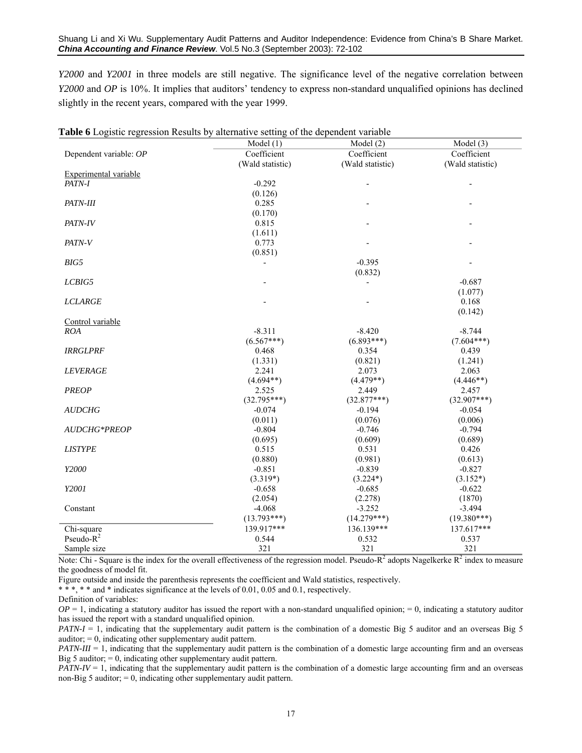*Y2000* and *Y2001* in three models are still negative. The significance level of the negative correlation between *Y2000* and *OP* is 10%. It implies that auditors' tendency to express non-standard unqualified opinions has declined slightly in the recent years, compared with the year 1999.

|                              | Model(1)         | Model(2)                 | Model (3)                |
|------------------------------|------------------|--------------------------|--------------------------|
| Dependent variable: OP       | Coefficient      | Coefficient              | Coefficient              |
|                              | (Wald statistic) | (Wald statistic)         | (Wald statistic)         |
| <b>Experimental variable</b> |                  |                          |                          |
| PATN-I                       | $-0.292$         | $\overline{\phantom{a}}$ | $\overline{\phantom{m}}$ |
|                              | (0.126)          |                          |                          |
| PATN-III                     | 0.285            |                          |                          |
|                              | (0.170)          |                          |                          |
| PATN-IV                      | 0.815            |                          |                          |
|                              | (1.611)          |                          |                          |
| PATN-V                       | 0.773            |                          |                          |
|                              | (0.851)          |                          |                          |
| BIG5                         | $\overline{a}$   | $-0.395$                 |                          |
|                              |                  | (0.832)                  |                          |
| LCBIG5                       |                  |                          | $-0.687$                 |
|                              |                  |                          | (1.077)                  |
| <b>LCLARGE</b>               |                  |                          | 0.168                    |
|                              |                  |                          | (0.142)                  |
| Control variable             |                  |                          |                          |
| <b>ROA</b>                   | $-8.311$         | $-8.420$                 | $-8.744$                 |
|                              | $(6.567***)$     | $(6.893***)$             | $(7.604***)$             |
| <b>IRRGLPRF</b>              | 0.468            | 0.354                    | 0.439                    |
|                              | (1.331)          | (0.821)                  | (1.241)                  |
| <b>LEVERAGE</b>              | 2.241            | 2.073                    | 2.063                    |
|                              | $(4.694**)$      | $(4.479**)$              | $(4.446**)$              |
| <b>PREOP</b>                 | 2.525            | 2.449                    | 2.457                    |
|                              | $(32.795***)$    | $(32.877***)$            | $(32.907***)$            |
| <b>AUDCHG</b>                | $-0.074$         | $-0.194$                 | $-0.054$                 |
|                              | (0.011)          | (0.076)                  | (0.006)                  |
| <b>AUDCHG*PREOP</b>          | $-0.804$         | $-0.746$                 | $-0.794$                 |
|                              | (0.695)          | (0.609)                  | (0.689)                  |
| <b>LISTYPE</b>               | 0.515            | 0.531                    | 0.426                    |
|                              | (0.880)          | (0.981)                  | (0.613)                  |
| Y2000                        | $-0.851$         | $-0.839$                 | $-0.827$                 |
|                              | $(3.319*)$       | $(3.224*)$               | $(3.152*)$               |
| Y2001                        | $-0.658$         | $-0.685$                 | $-0.622$                 |
|                              | (2.054)          | (2.278)                  | (1870)                   |
| Constant                     | $-4.068$         | $-3.252$                 | $-3.494$                 |
|                              | $(13.793***)$    | $(14.279***)$            | $(19.380***)$            |
| Chi-square                   | 139.917***       | 136.139***               | 137.617***               |
| Pseudo- $R^2$                | 0.544            | 0.532                    | 0.537                    |
| Sample size                  | 321              | 321                      | 321                      |
|                              |                  |                          |                          |

|  | Table 6 Logistic regression Results by alternative setting of the dependent variable |  |  |  |  |  |
|--|--------------------------------------------------------------------------------------|--|--|--|--|--|
|  |                                                                                      |  |  |  |  |  |

Note: Chi - Square is the index for the overall effectiveness of the regression model. Pseudo- $R^2$  adopts Nagelkerke  $R^2$  index to measure the goodness of model fit.

Figure outside and inside the parenthesis represents the coefficient and Wald statistics, respectively.

\* \* \*, \* \* and \* indicates significance at the levels of 0.01, 0.05 and 0.1, respectively.

Definition of variables:

 $OP = 1$ , indicating a statutory auditor has issued the report with a non-standard unqualified opinion;  $= 0$ , indicating a statutory auditor has issued the report with a standard unqualified opinion.

*PATN-I* = 1, indicating that the supplementary audit pattern is the combination of a domestic Big 5 auditor and an overseas Big 5 auditor; = 0, indicating other supplementary audit pattern.

*PATN-III* = 1, indicating that the supplementary audit pattern is the combination of a domestic large accounting firm and an overseas Big 5 auditor;  $= 0$ , indicating other supplementary audit pattern.

*PATN-IV* = 1, indicating that the supplementary audit pattern is the combination of a domestic large accounting firm and an overseas non-Big 5 auditor;  $= 0$ , indicating other supplementary audit pattern.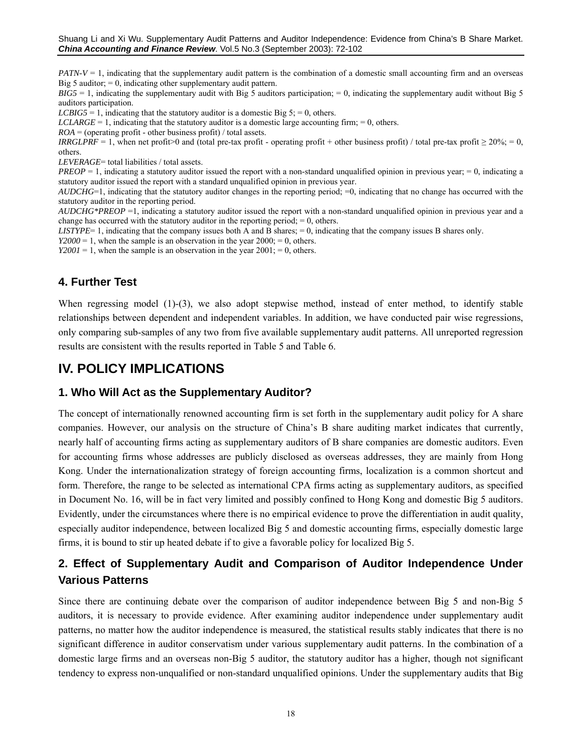*PATN-V* = 1, indicating that the supplementary audit pattern is the combination of a domestic small accounting firm and an overseas Big 5 auditor;  $= 0$ , indicating other supplementary audit pattern.

 $BIG5 = 1$ , indicating the supplementary audit with Big 5 auditors participation;  $= 0$ , indicating the supplementary audit without Big 5 auditors participation.

*LCBIG5* = 1, indicating that the statutory auditor is a domestic Big  $5$ ; = 0, others.

*LCLARGE* = 1, indicating that the statutory auditor is a domestic large accounting firm;  $= 0$ , others.

 $ROA = (operating profit - other business profit) / total assets.$ 

*IRRGLPRF* = 1, when net profit>0 and (total pre-tax profit - operating profit + other business profit) / total pre-tax profit  $\geq 20\%$ ; = 0, others.

*LEVERAGE*= total liabilities / total assets.

*PREOP* = 1, indicating a statutory auditor issued the report with a non-standard unqualified opinion in previous year; = 0, indicating a statutory auditor issued the report with a standard unqualified opinion in previous year.

*AUDCHG*=1, indicating that the statutory auditor changes in the reporting period; =0, indicating that no change has occurred with the statutory auditor in the reporting period.

*AUDCHG\*PREOP* =1, indicating a statutory auditor issued the report with a non-standard unqualified opinion in previous year and a change has occurred with the statutory auditor in the reporting period;  $= 0$ , others.

*LISTYPE*= 1, indicating that the company issues both A and B shares; = 0, indicating that the company issues B shares only.

 $Y2000 = 1$ , when the sample is an observation in the year  $2000 = 0$ , others.

*Y2001* = 1, when the sample is an observation in the year  $2001 = 0$ , others.

# **4. Further Test**

When regressing model  $(1)-(3)$ , we also adopt stepwise method, instead of enter method, to identify stable relationships between dependent and independent variables. In addition, we have conducted pair wise regressions, only comparing sub-samples of any two from five available supplementary audit patterns. All unreported regression results are consistent with the results reported in Table 5 and Table 6.

# **IV. POLICY IMPLICATIONS**

## **1. Who Will Act as the Supplementary Auditor?**

The concept of internationally renowned accounting firm is set forth in the supplementary audit policy for A share companies. However, our analysis on the structure of China's B share auditing market indicates that currently, nearly half of accounting firms acting as supplementary auditors of B share companies are domestic auditors. Even for accounting firms whose addresses are publicly disclosed as overseas addresses, they are mainly from Hong Kong. Under the internationalization strategy of foreign accounting firms, localization is a common shortcut and form. Therefore, the range to be selected as international CPA firms acting as supplementary auditors, as specified in Document No. 16, will be in fact very limited and possibly confined to Hong Kong and domestic Big 5 auditors. Evidently, under the circumstances where there is no empirical evidence to prove the differentiation in audit quality, especially auditor independence, between localized Big 5 and domestic accounting firms, especially domestic large firms, it is bound to stir up heated debate if to give a favorable policy for localized Big 5.

# **2. Effect of Supplementary Audit and Comparison of Auditor Independence Under Various Patterns**

Since there are continuing debate over the comparison of auditor independence between Big 5 and non-Big 5 auditors, it is necessary to provide evidence. After examining auditor independence under supplementary audit patterns, no matter how the auditor independence is measured, the statistical results stably indicates that there is no significant difference in auditor conservatism under various supplementary audit patterns. In the combination of a domestic large firms and an overseas non-Big 5 auditor, the statutory auditor has a higher, though not significant tendency to express non-unqualified or non-standard unqualified opinions. Under the supplementary audits that Big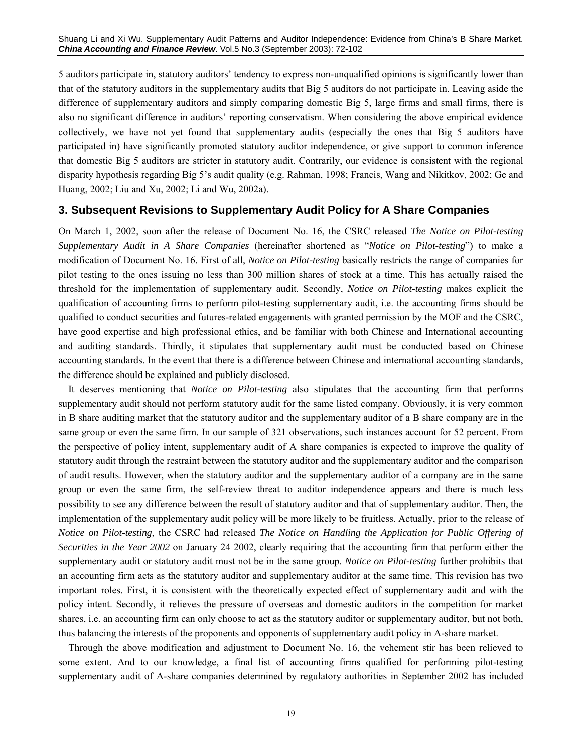Shuang Li and Xi Wu. Supplementary Audit Patterns and Auditor Independence: Evidence from China's B Share Market. *China Accounting and Finance Review*. Vol.5 No.3 (September 2003): 72-102

5 auditors participate in, statutory auditors' tendency to express non-unqualified opinions is significantly lower than that of the statutory auditors in the supplementary audits that Big 5 auditors do not participate in. Leaving aside the difference of supplementary auditors and simply comparing domestic Big 5, large firms and small firms, there is also no significant difference in auditors' reporting conservatism. When considering the above empirical evidence collectively, we have not yet found that supplementary audits (especially the ones that Big 5 auditors have participated in) have significantly promoted statutory auditor independence, or give support to common inference that domestic Big 5 auditors are stricter in statutory audit. Contrarily, our evidence is consistent with the regional disparity hypothesis regarding Big 5's audit quality (e.g. Rahman, 1998; Francis, Wang and Nikitkov, 2002; Ge and Huang, 2002; Liu and Xu, 2002; Li and Wu, 2002a).

#### **3. Subsequent Revisions to Supplementary Audit Policy for A Share Companies**

On March 1, 2002, soon after the release of Document No. 16, the CSRC released *The Notice on Pilot-testing Supplementary Audit in A Share Companies* (hereinafter shortened as "*Notice on Pilot-testing*") to make a modification of Document No. 16. First of all, *Notice on Pilot-testing* basically restricts the range of companies for pilot testing to the ones issuing no less than 300 million shares of stock at a time. This has actually raised the threshold for the implementation of supplementary audit. Secondly, *Notice on Pilot-testing* makes explicit the qualification of accounting firms to perform pilot-testing supplementary audit, i.e. the accounting firms should be qualified to conduct securities and futures-related engagements with granted permission by the MOF and the CSRC, have good expertise and high professional ethics, and be familiar with both Chinese and International accounting and auditing standards. Thirdly, it stipulates that supplementary audit must be conducted based on Chinese accounting standards. In the event that there is a difference between Chinese and international accounting standards, the difference should be explained and publicly disclosed.

It deserves mentioning that *Notice on Pilot-testing* also stipulates that the accounting firm that performs supplementary audit should not perform statutory audit for the same listed company. Obviously, it is very common in B share auditing market that the statutory auditor and the supplementary auditor of a B share company are in the same group or even the same firm. In our sample of 321 observations, such instances account for 52 percent. From the perspective of policy intent, supplementary audit of A share companies is expected to improve the quality of statutory audit through the restraint between the statutory auditor and the supplementary auditor and the comparison of audit results. However, when the statutory auditor and the supplementary auditor of a company are in the same group or even the same firm, the self-review threat to auditor independence appears and there is much less possibility to see any difference between the result of statutory auditor and that of supplementary auditor. Then, the implementation of the supplementary audit policy will be more likely to be fruitless. Actually, prior to the release of *Notice on Pilot-testing*, the CSRC had released *The Notice on Handling the Application for Public Offering of Securities in the Year 2002* on January 24 2002, clearly requiring that the accounting firm that perform either the supplementary audit or statutory audit must not be in the same group. *Notice on Pilot-testing* further prohibits that an accounting firm acts as the statutory auditor and supplementary auditor at the same time. This revision has two important roles. First, it is consistent with the theoretically expected effect of supplementary audit and with the policy intent. Secondly, it relieves the pressure of overseas and domestic auditors in the competition for market shares, i.e. an accounting firm can only choose to act as the statutory auditor or supplementary auditor, but not both, thus balancing the interests of the proponents and opponents of supplementary audit policy in A-share market.

Through the above modification and adjustment to Document No. 16, the vehement stir has been relieved to some extent. And to our knowledge, a final list of accounting firms qualified for performing pilot-testing supplementary audit of A-share companies determined by regulatory authorities in September 2002 has included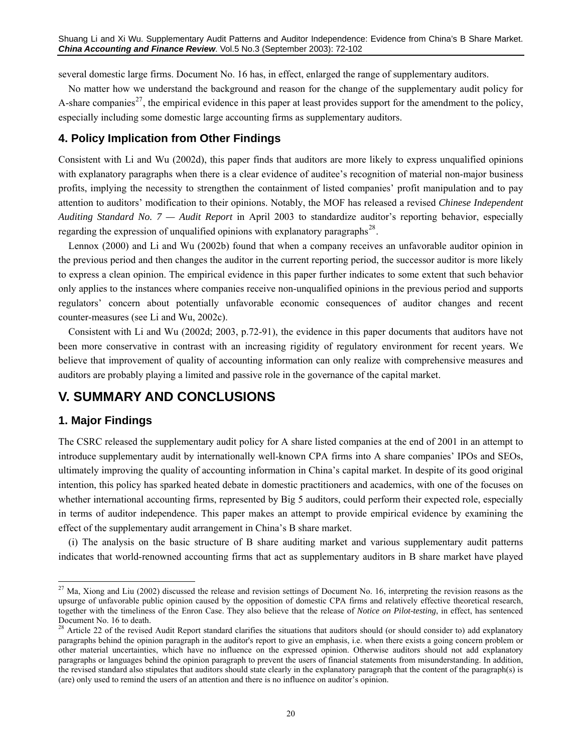several domestic large firms. Document No. 16 has, in effect, enlarged the range of supplementary auditors.

No matter how we understand the background and reason for the change of the supplementary audit policy for A-share companies<sup>[27](#page-19-0)</sup>, the empirical evidence in this paper at least provides support for the amendment to the policy, especially including some domestic large accounting firms as supplementary auditors.

# **4. Policy Implication from Other Findings**

Consistent with Li and Wu (2002d), this paper finds that auditors are more likely to express unqualified opinions with explanatory paragraphs when there is a clear evidence of auditee's recognition of material non-major business profits, implying the necessity to strengthen the containment of listed companies' profit manipulation and to pay attention to auditors' modification to their opinions. Notably, the MOF has released a revised *Chinese Independent Auditing Standard No. 7 — Audit Report* in April 2003 to standardize auditor's reporting behavior, especially regarding the expression of unqualified opinions with explanatory paragraphs<sup>[28](#page-19-1)</sup>.

Lennox (2000) and Li and Wu (2002b) found that when a company receives an unfavorable auditor opinion in the previous period and then changes the auditor in the current reporting period, the successor auditor is more likely to express a clean opinion. The empirical evidence in this paper further indicates to some extent that such behavior only applies to the instances where companies receive non-unqualified opinions in the previous period and supports regulators' concern about potentially unfavorable economic consequences of auditor changes and recent counter-measures (see Li and Wu, 2002c).

Consistent with Li and Wu (2002d; 2003, p.72-91), the evidence in this paper documents that auditors have not been more conservative in contrast with an increasing rigidity of regulatory environment for recent years. We believe that improvement of quality of accounting information can only realize with comprehensive measures and auditors are probably playing a limited and passive role in the governance of the capital market.

# **V. SUMMARY AND CONCLUSIONS**

# **1. Major Findings**

 $\overline{a}$ 

The CSRC released the supplementary audit policy for A share listed companies at the end of 2001 in an attempt to introduce supplementary audit by internationally well-known CPA firms into A share companies' IPOs and SEOs, ultimately improving the quality of accounting information in China's capital market. In despite of its good original intention, this policy has sparked heated debate in domestic practitioners and academics, with one of the focuses on whether international accounting firms, represented by Big 5 auditors, could perform their expected role, especially in terms of auditor independence. This paper makes an attempt to provide empirical evidence by examining the effect of the supplementary audit arrangement in China's B share market.

(i) The analysis on the basic structure of B share auditing market and various supplementary audit patterns indicates that world-renowned accounting firms that act as supplementary auditors in B share market have played

<span id="page-19-0"></span> $^{27}$  Ma, Xiong and Liu (2002) discussed the release and revision settings of Document No. 16, interpreting the revision reasons as the upsurge of unfavorable public opinion caused by the opposition of domestic CPA firms and relatively effective theoretical research, together with the timeliness of the Enron Case. They also believe that the release of *Notice on Pilot-testing*, in effect, has sentenced Document No. 16 to death.

<span id="page-19-1"></span><sup>&</sup>lt;sup>28</sup> Article 22 of the revised Audit Report standard clarifies the situations that auditors should (or should consider to) add explanatory paragraphs behind the opinion paragraph in the auditor's report to give an emphasis, i.e. when there exists a going concern problem or other material uncertainties, which have no influence on the expressed opinion. Otherwise auditors should not add explanatory paragraphs or languages behind the opinion paragraph to prevent the users of financial statements from misunderstanding. In addition, the revised standard also stipulates that auditors should state clearly in the explanatory paragraph that the content of the paragraph(s) is (are) only used to remind the users of an attention and there is no influence on auditor's opinion.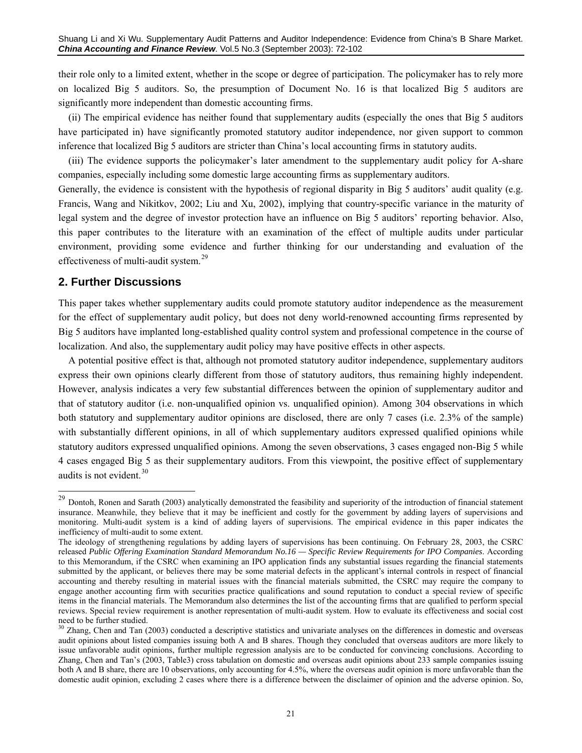their role only to a limited extent, whether in the scope or degree of participation. The policymaker has to rely more on localized Big 5 auditors. So, the presumption of Document No. 16 is that localized Big 5 auditors are significantly more independent than domestic accounting firms.

(ii) The empirical evidence has neither found that supplementary audits (especially the ones that Big 5 auditors have participated in) have significantly promoted statutory auditor independence, nor given support to common inference that localized Big 5 auditors are stricter than China's local accounting firms in statutory audits.

(iii) The evidence supports the policymaker's later amendment to the supplementary audit policy for A-share companies, especially including some domestic large accounting firms as supplementary auditors.

Generally, the evidence is consistent with the hypothesis of regional disparity in Big 5 auditors' audit quality (e.g. Francis, Wang and Nikitkov, 2002; Liu and Xu, 2002), implying that country-specific variance in the maturity of legal system and the degree of investor protection have an influence on Big 5 auditors' reporting behavior. Also, this paper contributes to the literature with an examination of the effect of multiple audits under particular environment, providing some evidence and further thinking for our understanding and evaluation of the effectiveness of multi-audit system.[29](#page-20-0)

## **2. Further Discussions**

 $\overline{a}$ 

This paper takes whether supplementary audits could promote statutory auditor independence as the measurement for the effect of supplementary audit policy, but does not deny world-renowned accounting firms represented by Big 5 auditors have implanted long-established quality control system and professional competence in the course of localization. And also, the supplementary audit policy may have positive effects in other aspects.

A potential positive effect is that, although not promoted statutory auditor independence, supplementary auditors express their own opinions clearly different from those of statutory auditors, thus remaining highly independent. However, analysis indicates a very few substantial differences between the opinion of supplementary auditor and that of statutory auditor (i.e. non-unqualified opinion vs. unqualified opinion). Among 304 observations in which both statutory and supplementary auditor opinions are disclosed, there are only 7 cases (i.e. 2.3% of the sample) with substantially different opinions, in all of which supplementary auditors expressed qualified opinions while statutory auditors expressed unqualified opinions. Among the seven observations, 3 cases engaged non-Big 5 while 4 cases engaged Big 5 as their supplementary auditors. From this viewpoint, the positive effect of supplementary audits is not evident. $30$ 

<span id="page-20-0"></span><sup>&</sup>lt;sup>29</sup> Dontoh, Ronen and Sarath (2003) analytically demonstrated the feasibility and superiority of the introduction of financial statement insurance. Meanwhile, they believe that it may be inefficient and costly for the government by adding layers of supervisions and monitoring. Multi-audit system is a kind of adding layers of supervisions. The empirical evidence in this paper indicates the inefficiency of multi-audit to some extent.

The ideology of strengthening regulations by adding layers of supervisions has been continuing. On February 28, 2003, the CSRC released *Public Offering Examination Standard Memorandum No.16 — Specific Review Requirements for IPO Companies*. According to this Memorandum, if the CSRC when examining an IPO application finds any substantial issues regarding the financial statements submitted by the applicant, or believes there may be some material defects in the applicant's internal controls in respect of financial accounting and thereby resulting in material issues with the financial materials submitted, the CSRC may require the company to engage another accounting firm with securities practice qualifications and sound reputation to conduct a special review of specific items in the financial materials. The Memorandum also determines the list of the accounting firms that are qualified to perform special reviews. Special review requirement is another representation of multi-audit system. How to evaluate its effectiveness and social cost need to be further studied.

<span id="page-20-1"></span> $30$  Zhang. Chen and Tan (2003) conducted a descriptive statistics and univariate analyses on the differences in domestic and overseas audit opinions about listed companies issuing both A and B shares. Though they concluded that overseas auditors are more likely to issue unfavorable audit opinions, further multiple regression analysis are to be conducted for convincing conclusions. According to Zhang, Chen and Tan's (2003, Table3) cross tabulation on domestic and overseas audit opinions about 233 sample companies issuing both A and B share, there are 10 observations, only accounting for 4.5%, where the overseas audit opinion is more unfavorable than the domestic audit opinion, excluding 2 cases where there is a difference between the disclaimer of opinion and the adverse opinion. So,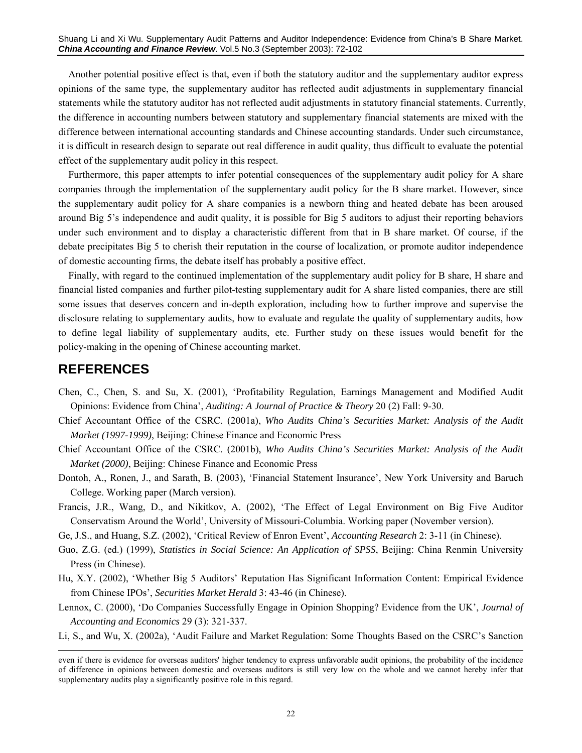Another potential positive effect is that, even if both the statutory auditor and the supplementary auditor express opinions of the same type, the supplementary auditor has reflected audit adjustments in supplementary financial statements while the statutory auditor has not reflected audit adjustments in statutory financial statements. Currently, the difference in accounting numbers between statutory and supplementary financial statements are mixed with the difference between international accounting standards and Chinese accounting standards. Under such circumstance, it is difficult in research design to separate out real difference in audit quality, thus difficult to evaluate the potential effect of the supplementary audit policy in this respect.

Furthermore, this paper attempts to infer potential consequences of the supplementary audit policy for A share companies through the implementation of the supplementary audit policy for the B share market. However, since the supplementary audit policy for A share companies is a newborn thing and heated debate has been aroused around Big 5's independence and audit quality, it is possible for Big 5 auditors to adjust their reporting behaviors under such environment and to display a characteristic different from that in B share market. Of course, if the debate precipitates Big 5 to cherish their reputation in the course of localization, or promote auditor independence of domestic accounting firms, the debate itself has probably a positive effect.

Finally, with regard to the continued implementation of the supplementary audit policy for B share, H share and financial listed companies and further pilot-testing supplementary audit for A share listed companies, there are still some issues that deserves concern and in-depth exploration, including how to further improve and supervise the disclosure relating to supplementary audits, how to evaluate and regulate the quality of supplementary audits, how to define legal liability of supplementary audits, etc. Further study on these issues would benefit for the policy-making in the opening of Chinese accounting market.

# **REFERENCES**

-

- Chen, C., Chen, S. and Su, X. (2001), 'Profitability Regulation, Earnings Management and Modified Audit Opinions: Evidence from China', *Auditing: A Journal of Practice & Theory* 20 (2) Fall: 9-30.
- Chief Accountant Office of the CSRC. (2001a), *Who Audits China's Securities Market: Analysis of the Audit Market (1997-1999)*, Beijing: Chinese Finance and Economic Press
- Chief Accountant Office of the CSRC. (2001b), *Who Audits China's Securities Market: Analysis of the Audit Market (2000)*, Beijing: Chinese Finance and Economic Press
- Dontoh, A., Ronen, J., and Sarath, B. (2003), 'Financial Statement Insurance', New York University and Baruch College. Working paper (March version).
- Francis, J.R., Wang, D., and Nikitkov, A. (2002), 'The Effect of Legal Environment on Big Five Auditor Conservatism Around the World', University of Missouri-Columbia. Working paper (November version).
- Ge, J.S., and Huang, S.Z. (2002), 'Critical Review of Enron Event', *Accounting Research* 2: 3-11 (in Chinese).
- Guo, Z.G. (ed.) (1999), *Statistics in Social Science: An Application of SPSS*, Beijing: China Renmin University Press (in Chinese).
- Hu, X.Y. (2002), 'Whether Big 5 Auditors' Reputation Has Significant Information Content: Empirical Evidence from Chinese IPOs', *Securities Market Herald* 3: 43-46 (in Chinese).
- Lennox, C. (2000), 'Do Companies Successfully Engage in Opinion Shopping? Evidence from the UK', *Journal of Accounting and Economics* 29 (3): 321-337.
- Li, S., and Wu, X. (2002a), 'Audit Failure and Market Regulation: Some Thoughts Based on the CSRC's Sanction

even if there is evidence for overseas auditors' higher tendency to express unfavorable audit opinions, the probability of the incidence of difference in opinions between domestic and overseas auditors is still very low on the whole and we cannot hereby infer that supplementary audits play a significantly positive role in this regard.